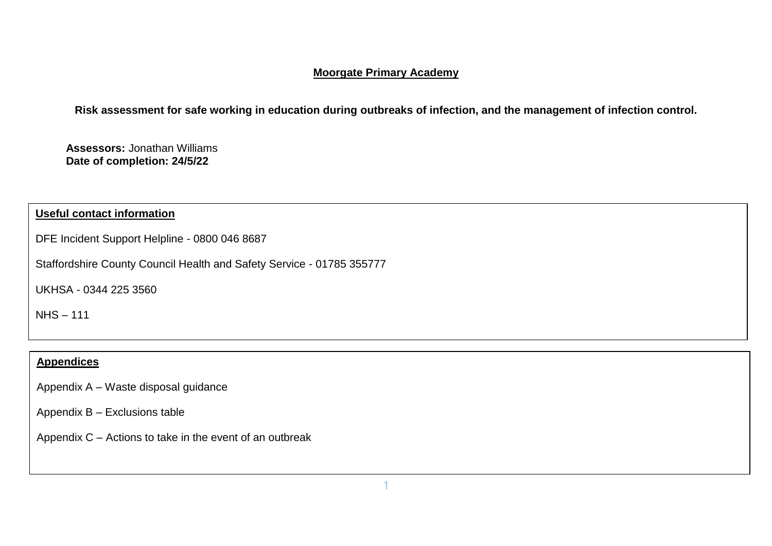# **Moorgate Primary Academy**

**Risk assessment for safe working in education during outbreaks of infection, and the management of infection control.**

**Assessors:** Jonathan Williams **Date of completion: 24/5/22**

# **Useful contact information**

DFE Incident Support Helpline - 0800 046 8687

Staffordshire County Council Health and Safety Service - [01785 355777](tel:01785355777)

UKHSA - 0344 225 3560

NHS – 111

# **Appendices**

Appendix A – Waste disposal guidance

Appendix B – Exclusions table

Appendix C – Actions to take in the event of an outbreak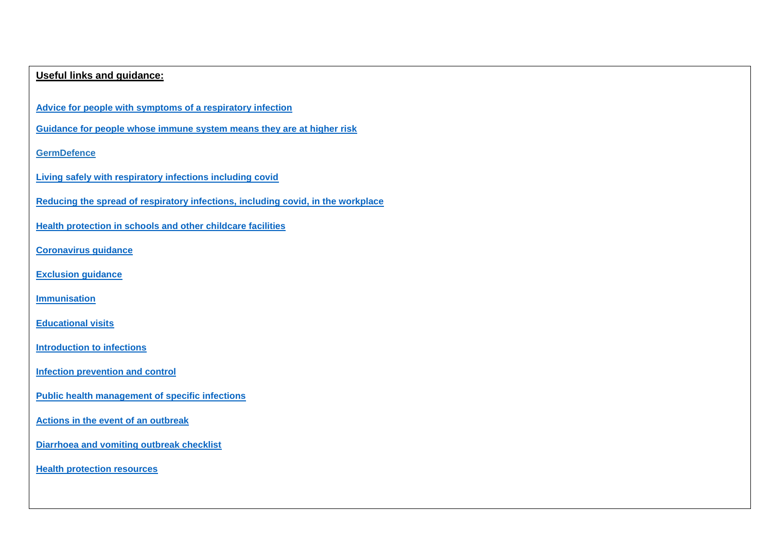## **Useful links and guidance:**

**[Advice for people with symptoms of a respiratory infection](https://www.gov.uk/guidance/people-with-symptoms-of-a-respiratory-infection-including-covid-19?utm_medium=email&utm_campaign=govuk-notifications-topic&utm_source=3a615d8c-ae10-4b5b-b155-6d92418a2b4a&utm_content=daily)**

**[Guidance for people whose immune system means they are at higher risk](https://www.gov.uk/government/publications/covid-19-guidance-for-people-whose-immune-system-means-they-are-at-higher-risk)**

## **[GermDefence](https://www.germdefence.org/)**

**[Living safely with respiratory infections including covid](https://www.gov.uk/guidance/living-safely-with-respiratory-infections-including-covid-19?utm_medium=email&utm_campaign=govuk-notifications-topic&utm_source=c985690b-06a8-41e9-b5e7-0c181752e812&utm_content=daily)**

**[Reducing the spread of respiratory infections,](https://www.gov.uk/guidance/reducing-the-spread-of-respiratory-infections-including-covid-19-in-the-workplace) including covid, in the workplace**

**[Health protection in schools and other childcare facilities](https://www.gov.uk/government/publications/health-protection-in-schools-and-other-childcare-facilities)**

**[Coronavirus guidance](https://www.gov.uk/coronavirus)**

**[Exclusion guidance](file:///C:/Users/Hope/OneDrive%20-%20Staffordshire%20University%20Academies%20Trust/SUAT%20CURRENT/SUAT/Current%20SUAT%20Files/H&S/COVID%2019/April%202022%20Guidance/Exclusion%20table%20-%20GOV.UK.html)**

**[Immunisation](file:///C:/Users/Hope/OneDrive%20-%20Staffordshire%20University%20Academies%20Trust/SUAT%20CURRENT/SUAT/Current%20SUAT%20Files/H&S/COVID%2019/April%202022%20Guidance/Chapter%205_%20immunisation%20-%20GOV.UK.html)**

**[Educational visits](file:///C:/Users/Hope/OneDrive%20-%20Staffordshire%20University%20Academies%20Trust/SUAT%20CURRENT/SUAT/Current%20SUAT%20Files/H&S/COVID%2019/April%202022%20Guidance/Chapter%206_%20educational%20visits%20-%20GOV.UK.html)**

**Introduction [to infections](https://www.gov.uk/government/publications/health-protection-in-schools-and-other-childcare-facilities/chapter-1-introduction-to-infections)**

**[Infection prevention and control](https://www.gov.uk/government/publications/health-protection-in-schools-and-other-childcare-facilities/chapter-2-infection-prevention-and-control)**

**[Public health management of specific infections](https://www.gov.uk/government/publications/health-protection-in-schools-and-other-childcare-facilities/chapter-3-public-health-management-of-specific-infectious-diseases)**

**[Actions in the event of an outbreak](https://www.gov.uk/government/publications/health-protection-in-schools-and-other-childcare-facilities/chapter-4-action-in-the-event-of-an-outbreak-or-incident)**

**[Diarrhoea and vomiting outbreak checklist](https://www.gov.uk/government/publications/health-protection-in-schools-and-other-childcare-facilities/chapter-4-action-in-the-event-of-an-outbreak-or-incident)**

**[Health protection resources](https://www.gov.uk/government/publications/health-protection-in-schools-and-other-childcare-facilities/appendices)**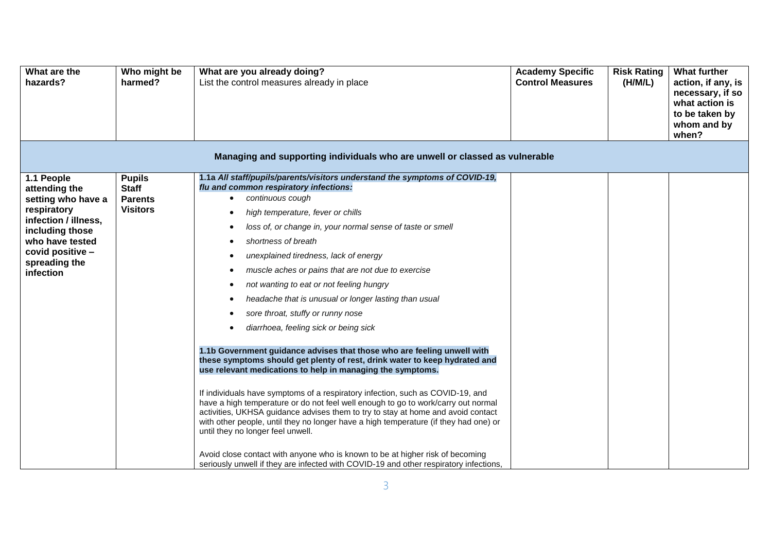| What are the<br>hazards?                                                                                                                                                         | Who might be<br>harmed?                                            | What are you already doing?<br>List the control measures already in place                                                                                                                                                                                                                                                                                                                                                                                                                                                                                                                                                                                                                                                                                                                                                                                                                                                                                                                                                                                                                                                                                                                                                                                                                                                                                                                                                                              | <b>Academy Specific</b><br><b>Control Measures</b> | <b>Risk Rating</b><br>(H/M/L) | <b>What further</b><br>action, if any, is<br>necessary, if so<br>what action is<br>to be taken by<br>whom and by<br>when? |
|----------------------------------------------------------------------------------------------------------------------------------------------------------------------------------|--------------------------------------------------------------------|--------------------------------------------------------------------------------------------------------------------------------------------------------------------------------------------------------------------------------------------------------------------------------------------------------------------------------------------------------------------------------------------------------------------------------------------------------------------------------------------------------------------------------------------------------------------------------------------------------------------------------------------------------------------------------------------------------------------------------------------------------------------------------------------------------------------------------------------------------------------------------------------------------------------------------------------------------------------------------------------------------------------------------------------------------------------------------------------------------------------------------------------------------------------------------------------------------------------------------------------------------------------------------------------------------------------------------------------------------------------------------------------------------------------------------------------------------|----------------------------------------------------|-------------------------------|---------------------------------------------------------------------------------------------------------------------------|
|                                                                                                                                                                                  |                                                                    | Managing and supporting individuals who are unwell or classed as vulnerable                                                                                                                                                                                                                                                                                                                                                                                                                                                                                                                                                                                                                                                                                                                                                                                                                                                                                                                                                                                                                                                                                                                                                                                                                                                                                                                                                                            |                                                    |                               |                                                                                                                           |
| 1.1 People<br>attending the<br>setting who have a<br>respiratory<br>infection / illness,<br>including those<br>who have tested<br>covid positive -<br>spreading the<br>infection | <b>Pupils</b><br><b>Staff</b><br><b>Parents</b><br><b>Visitors</b> | 1.1a All staff/pupils/parents/visitors understand the symptoms of COVID-19,<br>flu and common respiratory infections:<br>continuous cough<br>$\bullet$<br>high temperature, fever or chills<br>$\bullet$<br>loss of, or change in, your normal sense of taste or smell<br>$\bullet$<br>shortness of breath<br>$\bullet$<br>unexplained tiredness, lack of energy<br>muscle aches or pains that are not due to exercise<br>$\bullet$<br>not wanting to eat or not feeling hungry<br>$\bullet$<br>headache that is unusual or longer lasting than usual<br>$\bullet$<br>sore throat, stuffy or runny nose<br>diarrhoea, feeling sick or being sick<br>$\bullet$<br>1.1b Government guidance advises that those who are feeling unwell with<br>these symptoms should get plenty of rest, drink water to keep hydrated and<br>use relevant medications to help in managing the symptoms.<br>If individuals have symptoms of a respiratory infection, such as COVID-19, and<br>have a high temperature or do not feel well enough to go to work/carry out normal<br>activities, UKHSA guidance advises them to try to stay at home and avoid contact<br>with other people, until they no longer have a high temperature (if they had one) or<br>until they no longer feel unwell.<br>Avoid close contact with anyone who is known to be at higher risk of becoming<br>seriously unwell if they are infected with COVID-19 and other respiratory infections, |                                                    |                               |                                                                                                                           |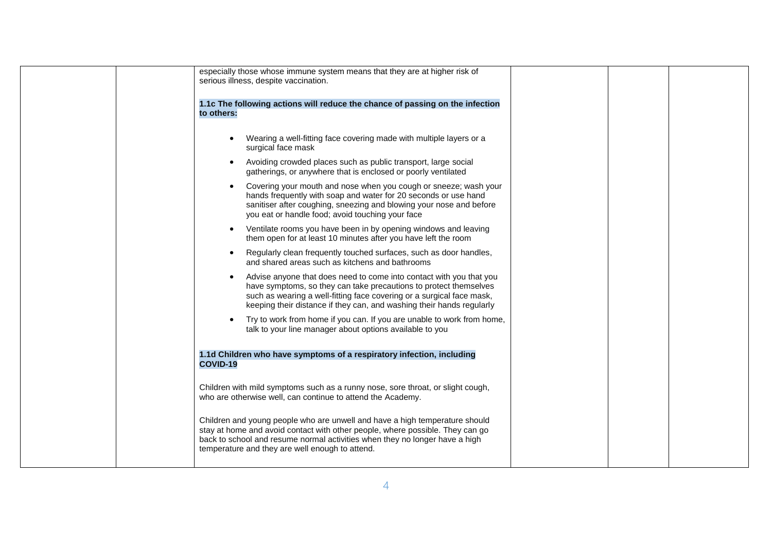| especially those whose immune system means that they are at higher risk of<br>serious illness, despite vaccination.                                                                                                                                                                            |
|------------------------------------------------------------------------------------------------------------------------------------------------------------------------------------------------------------------------------------------------------------------------------------------------|
| 1.1c The following actions will reduce the chance of passing on the infection<br>to others:                                                                                                                                                                                                    |
| Wearing a well-fitting face covering made with multiple layers or a<br>$\bullet$<br>surgical face mask                                                                                                                                                                                         |
| Avoiding crowded places such as public transport, large social<br>$\bullet$<br>gatherings, or anywhere that is enclosed or poorly ventilated                                                                                                                                                   |
| Covering your mouth and nose when you cough or sneeze; wash your<br>$\bullet$<br>hands frequently with soap and water for 20 seconds or use hand<br>sanitiser after coughing, sneezing and blowing your nose and before<br>you eat or handle food; avoid touching your face                    |
| Ventilate rooms you have been in by opening windows and leaving<br>$\bullet$<br>them open for at least 10 minutes after you have left the room                                                                                                                                                 |
| Regularly clean frequently touched surfaces, such as door handles,<br>$\bullet$<br>and shared areas such as kitchens and bathrooms                                                                                                                                                             |
| Advise anyone that does need to come into contact with you that you<br>have symptoms, so they can take precautions to protect themselves<br>such as wearing a well-fitting face covering or a surgical face mask,<br>keeping their distance if they can, and washing their hands regularly     |
| Try to work from home if you can. If you are unable to work from home,<br>talk to your line manager about options available to you                                                                                                                                                             |
| 1.1d Children who have symptoms of a respiratory infection, including<br><b>COVID-19</b>                                                                                                                                                                                                       |
| Children with mild symptoms such as a runny nose, sore throat, or slight cough,<br>who are otherwise well, can continue to attend the Academy.                                                                                                                                                 |
| Children and young people who are unwell and have a high temperature should<br>stay at home and avoid contact with other people, where possible. They can go<br>back to school and resume normal activities when they no longer have a high<br>temperature and they are well enough to attend. |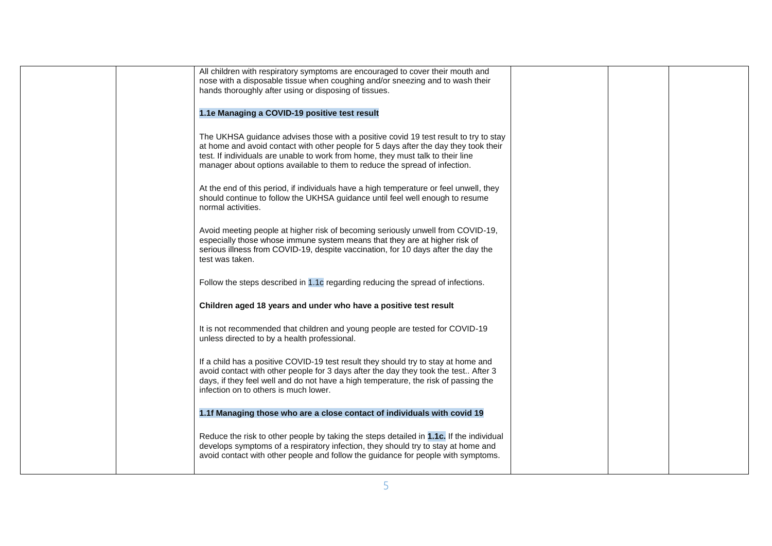|  | All children with respiratory symptoms are encouraged to cover their mouth and          |  |  |
|--|-----------------------------------------------------------------------------------------|--|--|
|  |                                                                                         |  |  |
|  | nose with a disposable tissue when coughing and/or sneezing and to wash their           |  |  |
|  | hands thoroughly after using or disposing of tissues.                                   |  |  |
|  |                                                                                         |  |  |
|  | 1.1e Managing a COVID-19 positive test result                                           |  |  |
|  |                                                                                         |  |  |
|  |                                                                                         |  |  |
|  | The UKHSA guidance advises those with a positive covid 19 test result to try to stay    |  |  |
|  | at home and avoid contact with other people for 5 days after the day they took their    |  |  |
|  | test. If individuals are unable to work from home, they must talk to their line         |  |  |
|  | manager about options available to them to reduce the spread of infection.              |  |  |
|  |                                                                                         |  |  |
|  |                                                                                         |  |  |
|  | At the end of this period, if individuals have a high temperature or feel unwell, they  |  |  |
|  | should continue to follow the UKHSA guidance until feel well enough to resume           |  |  |
|  | normal activities.                                                                      |  |  |
|  |                                                                                         |  |  |
|  |                                                                                         |  |  |
|  | Avoid meeting people at higher risk of becoming seriously unwell from COVID-19,         |  |  |
|  | especially those whose immune system means that they are at higher risk of              |  |  |
|  | serious illness from COVID-19, despite vaccination, for 10 days after the day the       |  |  |
|  | test was taken.                                                                         |  |  |
|  |                                                                                         |  |  |
|  |                                                                                         |  |  |
|  | Follow the steps described in 1.1c regarding reducing the spread of infections.         |  |  |
|  |                                                                                         |  |  |
|  | Children aged 18 years and under who have a positive test result                        |  |  |
|  |                                                                                         |  |  |
|  |                                                                                         |  |  |
|  | It is not recommended that children and young people are tested for COVID-19            |  |  |
|  | unless directed to by a health professional.                                            |  |  |
|  |                                                                                         |  |  |
|  |                                                                                         |  |  |
|  | If a child has a positive COVID-19 test result they should try to stay at home and      |  |  |
|  | avoid contact with other people for 3 days after the day they took the test After 3     |  |  |
|  | days, if they feel well and do not have a high temperature, the risk of passing the     |  |  |
|  | infection on to others is much lower.                                                   |  |  |
|  |                                                                                         |  |  |
|  |                                                                                         |  |  |
|  | 1.1f Managing those who are a close contact of individuals with covid 19                |  |  |
|  |                                                                                         |  |  |
|  | Reduce the risk to other people by taking the steps detailed in 1.1c. If the individual |  |  |
|  | develops symptoms of a respiratory infection, they should try to stay at home and       |  |  |
|  |                                                                                         |  |  |
|  |                                                                                         |  |  |
|  |                                                                                         |  |  |
|  | avoid contact with other people and follow the guidance for people with symptoms.       |  |  |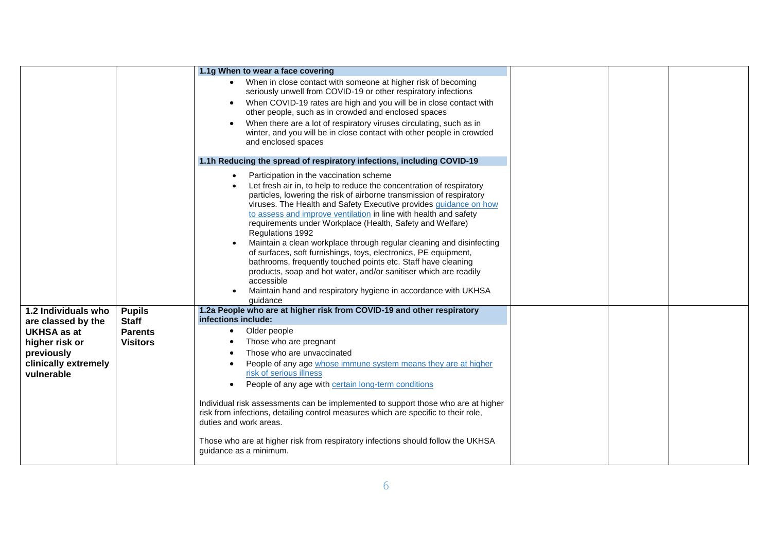|                                                                                                                |                                                   | 1.1g When to wear a face covering                                                                                                                                                                                                                                                                                                                                                                                                                                                                                                                                                                                                                                                                                                                                                                          |  |  |
|----------------------------------------------------------------------------------------------------------------|---------------------------------------------------|------------------------------------------------------------------------------------------------------------------------------------------------------------------------------------------------------------------------------------------------------------------------------------------------------------------------------------------------------------------------------------------------------------------------------------------------------------------------------------------------------------------------------------------------------------------------------------------------------------------------------------------------------------------------------------------------------------------------------------------------------------------------------------------------------------|--|--|
|                                                                                                                |                                                   | When in close contact with someone at higher risk of becoming<br>seriously unwell from COVID-19 or other respiratory infections<br>When COVID-19 rates are high and you will be in close contact with<br>other people, such as in crowded and enclosed spaces<br>When there are a lot of respiratory viruses circulating, such as in<br>winter, and you will be in close contact with other people in crowded<br>and enclosed spaces                                                                                                                                                                                                                                                                                                                                                                       |  |  |
|                                                                                                                |                                                   | 1.1h Reducing the spread of respiratory infections, including COVID-19                                                                                                                                                                                                                                                                                                                                                                                                                                                                                                                                                                                                                                                                                                                                     |  |  |
|                                                                                                                |                                                   | Participation in the vaccination scheme<br>$\bullet$<br>Let fresh air in, to help to reduce the concentration of respiratory<br>particles, lowering the risk of airborne transmission of respiratory<br>viruses. The Health and Safety Executive provides guidance on how<br>to assess and improve ventilation in line with health and safety<br>requirements under Workplace (Health, Safety and Welfare)<br>Regulations 1992<br>Maintain a clean workplace through regular cleaning and disinfecting<br>of surfaces, soft furnishings, toys, electronics, PE equipment,<br>bathrooms, frequently touched points etc. Staff have cleaning<br>products, soap and hot water, and/or sanitiser which are readily<br>accessible<br>Maintain hand and respiratory hygiene in accordance with UKHSA<br>quidance |  |  |
| 1.2 Individuals who                                                                                            | <b>Pupils</b>                                     | 1.2a People who are at higher risk from COVID-19 and other respiratory<br>infections include:                                                                                                                                                                                                                                                                                                                                                                                                                                                                                                                                                                                                                                                                                                              |  |  |
| are classed by the<br><b>UKHSA as at</b><br>higher risk or<br>previously<br>clinically extremely<br>vulnerable | <b>Staff</b><br><b>Parents</b><br><b>Visitors</b> | Older people<br>$\bullet$<br>Those who are pregnant<br>Those who are unvaccinated<br>People of any age whose immune system means they are at higher<br>risk of serious illness<br>People of any age with certain long-term conditions<br>Individual risk assessments can be implemented to support those who are at higher<br>risk from infections, detailing control measures which are specific to their role,<br>duties and work areas.<br>Those who are at higher risk from respiratory infections should follow the UKHSA<br>guidance as a minimum.                                                                                                                                                                                                                                                   |  |  |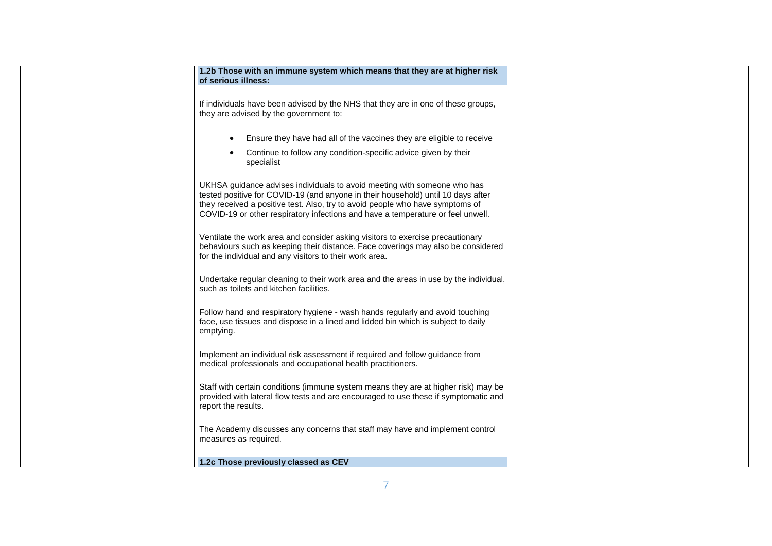| 1.2b Those with an immune system which means that they are at higher risk                                                                                                                                                                                                                                                        |  |  |
|----------------------------------------------------------------------------------------------------------------------------------------------------------------------------------------------------------------------------------------------------------------------------------------------------------------------------------|--|--|
| of serious illness:                                                                                                                                                                                                                                                                                                              |  |  |
| If individuals have been advised by the NHS that they are in one of these groups,<br>they are advised by the government to:                                                                                                                                                                                                      |  |  |
| Ensure they have had all of the vaccines they are eligible to receive<br>$\bullet$                                                                                                                                                                                                                                               |  |  |
| Continue to follow any condition-specific advice given by their<br>$\bullet$<br>specialist                                                                                                                                                                                                                                       |  |  |
| UKHSA guidance advises individuals to avoid meeting with someone who has<br>tested positive for COVID-19 (and anyone in their household) until 10 days after<br>they received a positive test. Also, try to avoid people who have symptoms of<br>COVID-19 or other respiratory infections and have a temperature or feel unwell. |  |  |
| Ventilate the work area and consider asking visitors to exercise precautionary<br>behaviours such as keeping their distance. Face coverings may also be considered<br>for the individual and any visitors to their work area.                                                                                                    |  |  |
| Undertake regular cleaning to their work area and the areas in use by the individual,<br>such as toilets and kitchen facilities.                                                                                                                                                                                                 |  |  |
| Follow hand and respiratory hygiene - wash hands regularly and avoid touching<br>face, use tissues and dispose in a lined and lidded bin which is subject to daily<br>emptying.                                                                                                                                                  |  |  |
| Implement an individual risk assessment if required and follow guidance from<br>medical professionals and occupational health practitioners.                                                                                                                                                                                     |  |  |
| Staff with certain conditions (immune system means they are at higher risk) may be<br>provided with lateral flow tests and are encouraged to use these if symptomatic and<br>report the results.                                                                                                                                 |  |  |
| The Academy discusses any concerns that staff may have and implement control<br>measures as required.                                                                                                                                                                                                                            |  |  |
| 1.2c Those previously classed as CEV                                                                                                                                                                                                                                                                                             |  |  |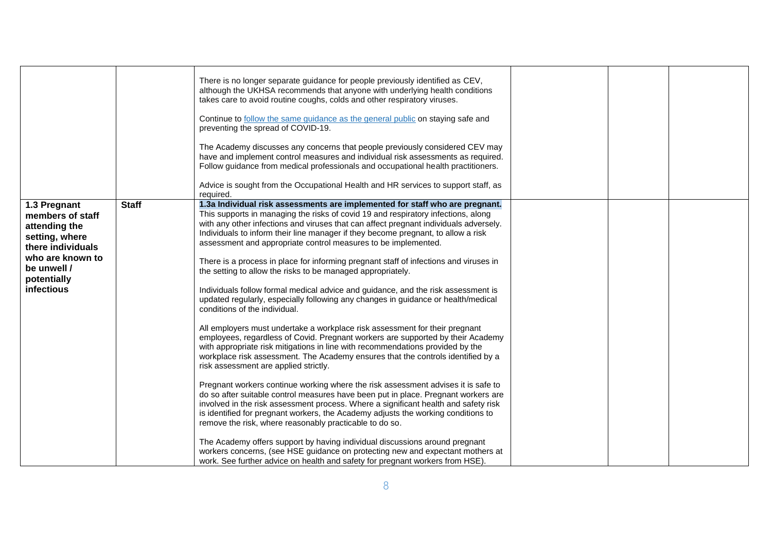|                                                                                                                                                          |              | There is no longer separate guidance for people previously identified as CEV,<br>although the UKHSA recommends that anyone with underlying health conditions<br>takes care to avoid routine coughs, colds and other respiratory viruses.<br>Continue to follow the same guidance as the general public on staying safe and<br>preventing the spread of COVID-19.                                                                                                                                                                                                                                                                                                                                                                                                                                                                                                                                                                                                                                                                                                                                                                                                                                                                                                                                                                                                                                                                                                                                                                                                                                                                                                       |  |  |
|----------------------------------------------------------------------------------------------------------------------------------------------------------|--------------|------------------------------------------------------------------------------------------------------------------------------------------------------------------------------------------------------------------------------------------------------------------------------------------------------------------------------------------------------------------------------------------------------------------------------------------------------------------------------------------------------------------------------------------------------------------------------------------------------------------------------------------------------------------------------------------------------------------------------------------------------------------------------------------------------------------------------------------------------------------------------------------------------------------------------------------------------------------------------------------------------------------------------------------------------------------------------------------------------------------------------------------------------------------------------------------------------------------------------------------------------------------------------------------------------------------------------------------------------------------------------------------------------------------------------------------------------------------------------------------------------------------------------------------------------------------------------------------------------------------------------------------------------------------------|--|--|
|                                                                                                                                                          |              | The Academy discusses any concerns that people previously considered CEV may<br>have and implement control measures and individual risk assessments as required.<br>Follow guidance from medical professionals and occupational health practitioners.                                                                                                                                                                                                                                                                                                                                                                                                                                                                                                                                                                                                                                                                                                                                                                                                                                                                                                                                                                                                                                                                                                                                                                                                                                                                                                                                                                                                                  |  |  |
|                                                                                                                                                          |              | Advice is sought from the Occupational Health and HR services to support staff, as<br>required.                                                                                                                                                                                                                                                                                                                                                                                                                                                                                                                                                                                                                                                                                                                                                                                                                                                                                                                                                                                                                                                                                                                                                                                                                                                                                                                                                                                                                                                                                                                                                                        |  |  |
| 1.3 Pregnant<br>members of staff<br>attending the<br>setting, where<br>there individuals<br>who are known to<br>be unwell /<br>potentially<br>infectious | <b>Staff</b> | 1.3a Individual risk assessments are implemented for staff who are pregnant.<br>This supports in managing the risks of covid 19 and respiratory infections, along<br>with any other infections and viruses that can affect pregnant individuals adversely.<br>Individuals to inform their line manager if they become pregnant, to allow a risk<br>assessment and appropriate control measures to be implemented.<br>There is a process in place for informing pregnant staff of infections and viruses in<br>the setting to allow the risks to be managed appropriately.<br>Individuals follow formal medical advice and guidance, and the risk assessment is<br>updated regularly, especially following any changes in guidance or health/medical<br>conditions of the individual.<br>All employers must undertake a workplace risk assessment for their pregnant<br>employees, regardless of Covid. Pregnant workers are supported by their Academy<br>with appropriate risk mitigations in line with recommendations provided by the<br>workplace risk assessment. The Academy ensures that the controls identified by a<br>risk assessment are applied strictly.<br>Pregnant workers continue working where the risk assessment advises it is safe to<br>do so after suitable control measures have been put in place. Pregnant workers are<br>involved in the risk assessment process. Where a significant health and safety risk<br>is identified for pregnant workers, the Academy adjusts the working conditions to<br>remove the risk, where reasonably practicable to do so.<br>The Academy offers support by having individual discussions around pregnant |  |  |
|                                                                                                                                                          |              | workers concerns, (see HSE guidance on protecting new and expectant mothers at<br>work. See further advice on health and safety for pregnant workers from HSE).                                                                                                                                                                                                                                                                                                                                                                                                                                                                                                                                                                                                                                                                                                                                                                                                                                                                                                                                                                                                                                                                                                                                                                                                                                                                                                                                                                                                                                                                                                        |  |  |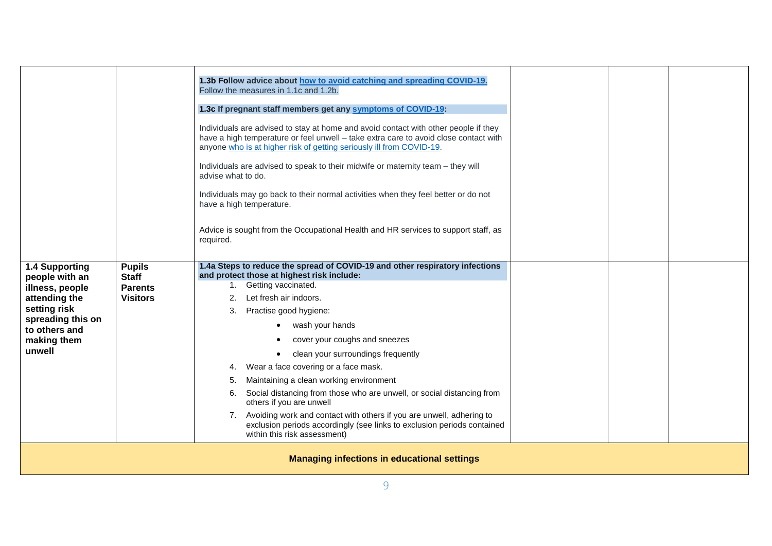|                                    |                                                    | 1.3b Follow advice about how to avoid catching and spreading COVID-19.<br>Follow the measures in 1.1c and 1.2b.                                                                                                                                     |  |  |  |  |
|------------------------------------|----------------------------------------------------|-----------------------------------------------------------------------------------------------------------------------------------------------------------------------------------------------------------------------------------------------------|--|--|--|--|
|                                    |                                                    | 1.3c If pregnant staff members get any symptoms of COVID-19:                                                                                                                                                                                        |  |  |  |  |
|                                    |                                                    | Individuals are advised to stay at home and avoid contact with other people if they<br>have a high temperature or feel unwell - take extra care to avoid close contact with<br>anyone who is at higher risk of getting seriously ill from COVID-19. |  |  |  |  |
|                                    |                                                    | Individuals are advised to speak to their midwife or maternity team - they will<br>advise what to do.                                                                                                                                               |  |  |  |  |
|                                    |                                                    | Individuals may go back to their normal activities when they feel better or do not<br>have a high temperature.                                                                                                                                      |  |  |  |  |
|                                    |                                                    | Advice is sought from the Occupational Health and HR services to support staff, as<br>required.                                                                                                                                                     |  |  |  |  |
| 1.4 Supporting<br>people with an   | <b>Pupils</b><br><b>Staff</b>                      | 1.4a Steps to reduce the spread of COVID-19 and other respiratory infections<br>and protect those at highest risk include:                                                                                                                          |  |  |  |  |
| illness, people                    | <b>Parents</b>                                     | 1. Getting vaccinated.                                                                                                                                                                                                                              |  |  |  |  |
| attending the                      | <b>Visitors</b>                                    | Let fresh air indoors.<br>2.                                                                                                                                                                                                                        |  |  |  |  |
| setting risk                       |                                                    | 3. Practise good hygiene:                                                                                                                                                                                                                           |  |  |  |  |
| spreading this on<br>to others and |                                                    | wash your hands                                                                                                                                                                                                                                     |  |  |  |  |
| making them                        |                                                    | cover your coughs and sneezes                                                                                                                                                                                                                       |  |  |  |  |
| unwell                             |                                                    | clean your surroundings frequently                                                                                                                                                                                                                  |  |  |  |  |
|                                    |                                                    | Wear a face covering or a face mask.<br>4.                                                                                                                                                                                                          |  |  |  |  |
|                                    |                                                    | Maintaining a clean working environment<br>5.                                                                                                                                                                                                       |  |  |  |  |
|                                    |                                                    | Social distancing from those who are unwell, or social distancing from<br>6.<br>others if you are unwell                                                                                                                                            |  |  |  |  |
|                                    |                                                    | 7. Avoiding work and contact with others if you are unwell, adhering to<br>exclusion periods accordingly (see links to exclusion periods contained<br>within this risk assessment)                                                                  |  |  |  |  |
|                                    | <b>Managing infections in educational settings</b> |                                                                                                                                                                                                                                                     |  |  |  |  |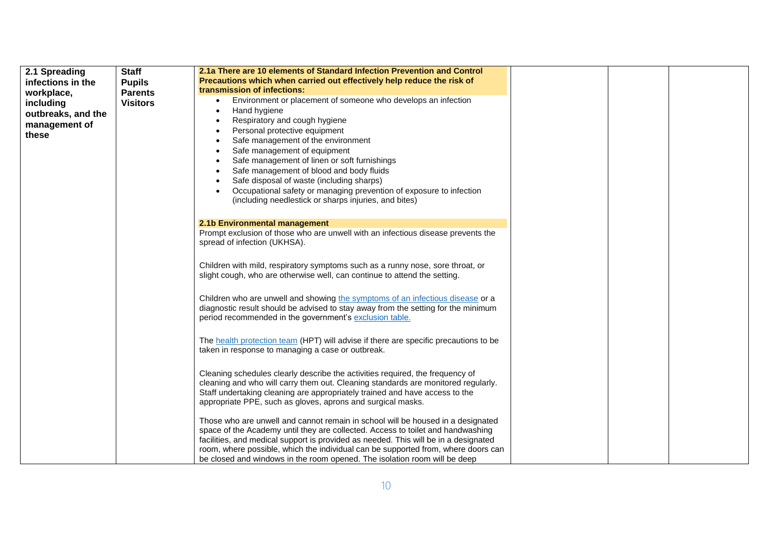| 2.1 Spreading      | <b>Staff</b>    | 2.1a There are 10 elements of Standard Infection Prevention and Control                                                                                            |  |
|--------------------|-----------------|--------------------------------------------------------------------------------------------------------------------------------------------------------------------|--|
| infections in the  | <b>Pupils</b>   | Precautions which when carried out effectively help reduce the risk of                                                                                             |  |
| workplace,         | <b>Parents</b>  | transmission of infections:                                                                                                                                        |  |
| including          | <b>Visitors</b> | Environment or placement of someone who develops an infection<br>$\bullet$                                                                                         |  |
|                    |                 | Hand hygiene<br>$\bullet$                                                                                                                                          |  |
| outbreaks, and the |                 | Respiratory and cough hygiene                                                                                                                                      |  |
| management of      |                 | Personal protective equipment                                                                                                                                      |  |
| these              |                 | Safe management of the environment                                                                                                                                 |  |
|                    |                 | Safe management of equipment                                                                                                                                       |  |
|                    |                 | Safe management of linen or soft furnishings                                                                                                                       |  |
|                    |                 | Safe management of blood and body fluids                                                                                                                           |  |
|                    |                 | Safe disposal of waste (including sharps)                                                                                                                          |  |
|                    |                 | Occupational safety or managing prevention of exposure to infection<br>$\bullet$                                                                                   |  |
|                    |                 | (including needlestick or sharps injuries, and bites)                                                                                                              |  |
|                    |                 |                                                                                                                                                                    |  |
|                    |                 | 2.1b Environmental management                                                                                                                                      |  |
|                    |                 | Prompt exclusion of those who are unwell with an infectious disease prevents the                                                                                   |  |
|                    |                 | spread of infection (UKHSA).                                                                                                                                       |  |
|                    |                 |                                                                                                                                                                    |  |
|                    |                 | Children with mild, respiratory symptoms such as a runny nose, sore throat, or                                                                                     |  |
|                    |                 | slight cough, who are otherwise well, can continue to attend the setting.                                                                                          |  |
|                    |                 |                                                                                                                                                                    |  |
|                    |                 | Children who are unwell and showing the symptoms of an infectious disease or a                                                                                     |  |
|                    |                 | diagnostic result should be advised to stay away from the setting for the minimum                                                                                  |  |
|                    |                 | period recommended in the government's exclusion table.                                                                                                            |  |
|                    |                 |                                                                                                                                                                    |  |
|                    |                 | The health protection team (HPT) will advise if there are specific precautions to be                                                                               |  |
|                    |                 | taken in response to managing a case or outbreak.                                                                                                                  |  |
|                    |                 |                                                                                                                                                                    |  |
|                    |                 | Cleaning schedules clearly describe the activities required, the frequency of                                                                                      |  |
|                    |                 | cleaning and who will carry them out. Cleaning standards are monitored regularly.                                                                                  |  |
|                    |                 | Staff undertaking cleaning are appropriately trained and have access to the                                                                                        |  |
|                    |                 | appropriate PPE, such as gloves, aprons and surgical masks.                                                                                                        |  |
|                    |                 |                                                                                                                                                                    |  |
|                    |                 | Those who are unwell and cannot remain in school will be housed in a designated<br>space of the Academy until they are collected. Access to toilet and handwashing |  |
|                    |                 | facilities, and medical support is provided as needed. This will be in a designated                                                                                |  |
|                    |                 | room, where possible, which the individual can be supported from, where doors can                                                                                  |  |
|                    |                 | be closed and windows in the room opened. The isolation room will be deep                                                                                          |  |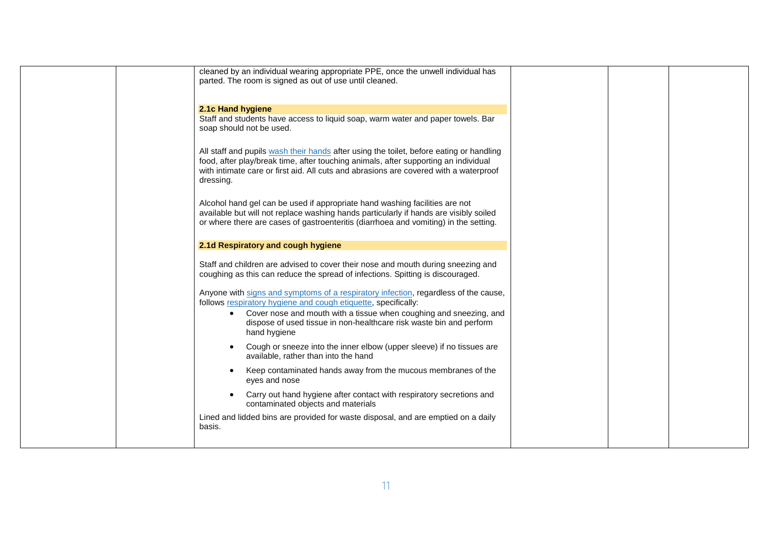|  | cleaned by an individual wearing appropriate PPE, once the unwell individual has<br>parted. The room is signed as out of use until cleaned.                                                                                                                                          |  |
|--|--------------------------------------------------------------------------------------------------------------------------------------------------------------------------------------------------------------------------------------------------------------------------------------|--|
|  |                                                                                                                                                                                                                                                                                      |  |
|  | 2.1c Hand hygiene<br>Staff and students have access to liquid soap, warm water and paper towels. Bar<br>soap should not be used.                                                                                                                                                     |  |
|  | All staff and pupils wash their hands after using the toilet, before eating or handling<br>food, after play/break time, after touching animals, after supporting an individual<br>with intimate care or first aid. All cuts and abrasions are covered with a waterproof<br>dressing. |  |
|  | Alcohol hand gel can be used if appropriate hand washing facilities are not<br>available but will not replace washing hands particularly if hands are visibly soiled<br>or where there are cases of gastroenteritis (diarrhoea and vomiting) in the setting.                         |  |
|  | 2.1d Respiratory and cough hygiene                                                                                                                                                                                                                                                   |  |
|  | Staff and children are advised to cover their nose and mouth during sneezing and<br>coughing as this can reduce the spread of infections. Spitting is discouraged.                                                                                                                   |  |
|  | Anyone with signs and symptoms of a respiratory infection, regardless of the cause,<br>follows respiratory hygiene and cough etiquette, specifically:                                                                                                                                |  |
|  | Cover nose and mouth with a tissue when coughing and sneezing, and<br>$\bullet$<br>dispose of used tissue in non-healthcare risk waste bin and perform<br>hand hygiene                                                                                                               |  |
|  | Cough or sneeze into the inner elbow (upper sleeve) if no tissues are<br>available, rather than into the hand                                                                                                                                                                        |  |
|  | Keep contaminated hands away from the mucous membranes of the<br>$\bullet$<br>eyes and nose                                                                                                                                                                                          |  |
|  | Carry out hand hygiene after contact with respiratory secretions and<br>$\bullet$<br>contaminated objects and materials                                                                                                                                                              |  |
|  | Lined and lidded bins are provided for waste disposal, and are emptied on a daily<br>basis.                                                                                                                                                                                          |  |
|  |                                                                                                                                                                                                                                                                                      |  |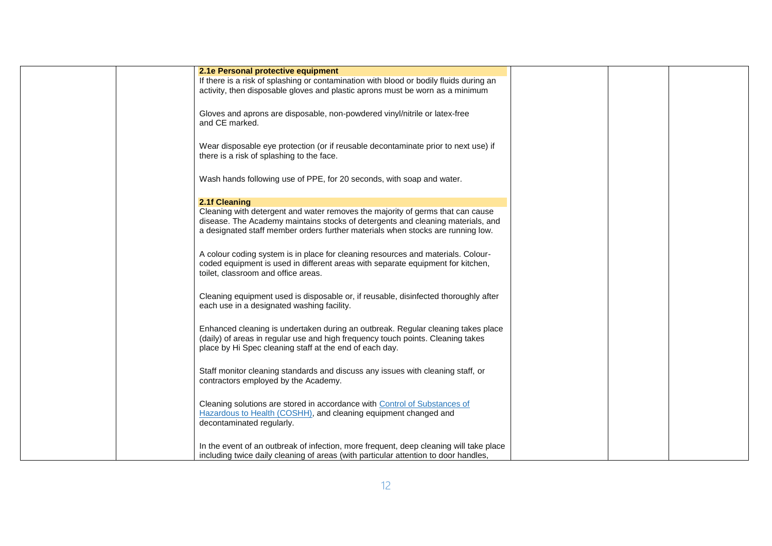| 2.1e Personal protective equipment                                                     |  |
|----------------------------------------------------------------------------------------|--|
| If there is a risk of splashing or contamination with blood or bodily fluids during an |  |
| activity, then disposable gloves and plastic aprons must be worn as a minimum          |  |
|                                                                                        |  |
|                                                                                        |  |
| Gloves and aprons are disposable, non-powdered vinyl/nitrile or latex-free             |  |
| and CE marked.                                                                         |  |
|                                                                                        |  |
| Wear disposable eye protection (or if reusable decontaminate prior to next use) if     |  |
| there is a risk of splashing to the face.                                              |  |
|                                                                                        |  |
|                                                                                        |  |
| Wash hands following use of PPE, for 20 seconds, with soap and water.                  |  |
|                                                                                        |  |
| 2.1f Cleaning                                                                          |  |
| Cleaning with detergent and water removes the majority of germs that can cause         |  |
| disease. The Academy maintains stocks of detergents and cleaning materials, and        |  |
| a designated staff member orders further materials when stocks are running low.        |  |
|                                                                                        |  |
|                                                                                        |  |
| A colour coding system is in place for cleaning resources and materials. Colour-       |  |
| coded equipment is used in different areas with separate equipment for kitchen,        |  |
| toilet, classroom and office areas.                                                    |  |
|                                                                                        |  |
| Cleaning equipment used is disposable or, if reusable, disinfected thoroughly after    |  |
| each use in a designated washing facility.                                             |  |
|                                                                                        |  |
|                                                                                        |  |
| Enhanced cleaning is undertaken during an outbreak. Regular cleaning takes place       |  |
| (daily) of areas in regular use and high frequency touch points. Cleaning takes        |  |
| place by Hi Spec cleaning staff at the end of each day.                                |  |
|                                                                                        |  |
| Staff monitor cleaning standards and discuss any issues with cleaning staff, or        |  |
| contractors employed by the Academy.                                                   |  |
|                                                                                        |  |
|                                                                                        |  |
| Cleaning solutions are stored in accordance with Control of Substances of              |  |
| Hazardous to Health (COSHH), and cleaning equipment changed and                        |  |
| decontaminated regularly.                                                              |  |
|                                                                                        |  |
|                                                                                        |  |
| In the event of an outbreak of infection, more frequent, deep cleaning will take place |  |
| including twice daily cleaning of areas (with particular attention to door handles,    |  |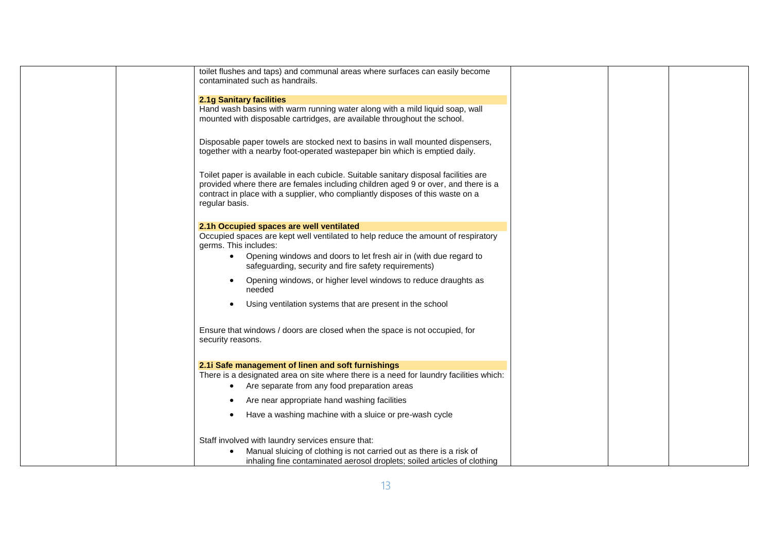| toilet flushes and taps) and communal areas where surfaces can easily become<br>contaminated such as handrails.                                                                                                                                                                |  |
|--------------------------------------------------------------------------------------------------------------------------------------------------------------------------------------------------------------------------------------------------------------------------------|--|
| <b>2.1g Sanitary facilities</b>                                                                                                                                                                                                                                                |  |
| Hand wash basins with warm running water along with a mild liquid soap, wall<br>mounted with disposable cartridges, are available throughout the school.                                                                                                                       |  |
| Disposable paper towels are stocked next to basins in wall mounted dispensers,<br>together with a nearby foot-operated wastepaper bin which is emptied daily.                                                                                                                  |  |
| Toilet paper is available in each cubicle. Suitable sanitary disposal facilities are<br>provided where there are females including children aged 9 or over, and there is a<br>contract in place with a supplier, who compliantly disposes of this waste on a<br>regular basis. |  |
| 2.1h Occupied spaces are well ventilated                                                                                                                                                                                                                                       |  |
| Occupied spaces are kept well ventilated to help reduce the amount of respiratory<br>germs. This includes:                                                                                                                                                                     |  |
| • Opening windows and doors to let fresh air in (with due regard to<br>safeguarding, security and fire safety requirements)                                                                                                                                                    |  |
| Opening windows, or higher level windows to reduce draughts as<br>needed                                                                                                                                                                                                       |  |
| Using ventilation systems that are present in the school                                                                                                                                                                                                                       |  |
| Ensure that windows / doors are closed when the space is not occupied, for<br>security reasons.                                                                                                                                                                                |  |
| 2.1i Safe management of linen and soft furnishings                                                                                                                                                                                                                             |  |
| There is a designated area on site where there is a need for laundry facilities which:<br>Are separate from any food preparation areas                                                                                                                                         |  |
| Are near appropriate hand washing facilities                                                                                                                                                                                                                                   |  |
| Have a washing machine with a sluice or pre-wash cycle<br>$\bullet$                                                                                                                                                                                                            |  |
| Staff involved with laundry services ensure that:                                                                                                                                                                                                                              |  |
| Manual sluicing of clothing is not carried out as there is a risk of<br>inhaling fine contaminated aerosol droplets; soiled articles of clothing                                                                                                                               |  |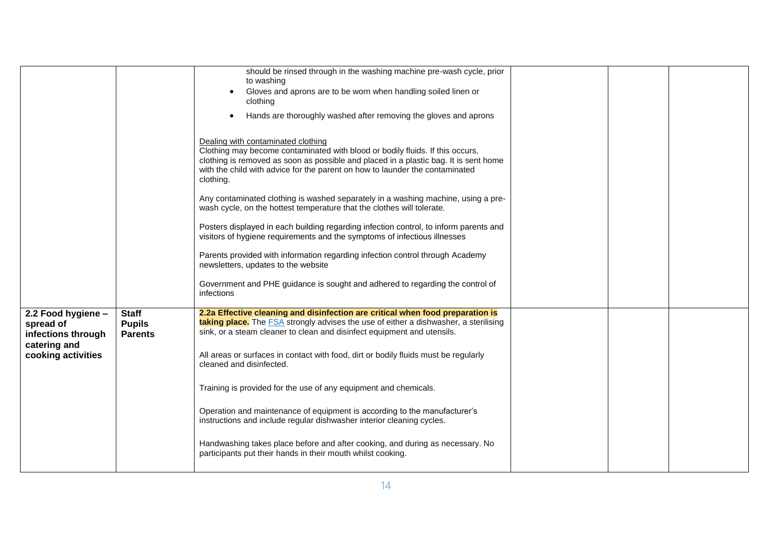|                                                       |                                                 | should be rinsed through in the washing machine pre-wash cycle, prior                                                                                                                                                                                                                                    |  |  |
|-------------------------------------------------------|-------------------------------------------------|----------------------------------------------------------------------------------------------------------------------------------------------------------------------------------------------------------------------------------------------------------------------------------------------------------|--|--|
|                                                       |                                                 | to washing                                                                                                                                                                                                                                                                                               |  |  |
|                                                       |                                                 | Gloves and aprons are to be worn when handling soiled linen or<br>clothing                                                                                                                                                                                                                               |  |  |
|                                                       |                                                 | Hands are thoroughly washed after removing the gloves and aprons<br>$\bullet$                                                                                                                                                                                                                            |  |  |
|                                                       |                                                 | Dealing with contaminated clothing<br>Clothing may become contaminated with blood or bodily fluids. If this occurs,<br>clothing is removed as soon as possible and placed in a plastic bag. It is sent home<br>with the child with advice for the parent on how to launder the contaminated<br>clothing. |  |  |
|                                                       |                                                 | Any contaminated clothing is washed separately in a washing machine, using a pre-<br>wash cycle, on the hottest temperature that the clothes will tolerate.                                                                                                                                              |  |  |
|                                                       |                                                 | Posters displayed in each building regarding infection control, to inform parents and<br>visitors of hygiene requirements and the symptoms of infectious illnesses                                                                                                                                       |  |  |
|                                                       |                                                 | Parents provided with information regarding infection control through Academy<br>newsletters, updates to the website                                                                                                                                                                                     |  |  |
|                                                       |                                                 | Government and PHE guidance is sought and adhered to regarding the control of<br>infections                                                                                                                                                                                                              |  |  |
| 2.2 Food hygiene -<br>spread of<br>infections through | <b>Staff</b><br><b>Pupils</b><br><b>Parents</b> | 2.2a Effective cleaning and disinfection are critical when food preparation is<br>taking place. The FSA strongly advises the use of either a dishwasher, a sterilising<br>sink, or a steam cleaner to clean and disinfect equipment and utensils.                                                        |  |  |
| catering and<br>cooking activities                    |                                                 | All areas or surfaces in contact with food, dirt or bodily fluids must be regularly<br>cleaned and disinfected.                                                                                                                                                                                          |  |  |
|                                                       |                                                 | Training is provided for the use of any equipment and chemicals.                                                                                                                                                                                                                                         |  |  |
|                                                       |                                                 | Operation and maintenance of equipment is according to the manufacturer's<br>instructions and include regular dishwasher interior cleaning cycles.                                                                                                                                                       |  |  |
|                                                       |                                                 | Handwashing takes place before and after cooking, and during as necessary. No<br>participants put their hands in their mouth whilst cooking.                                                                                                                                                             |  |  |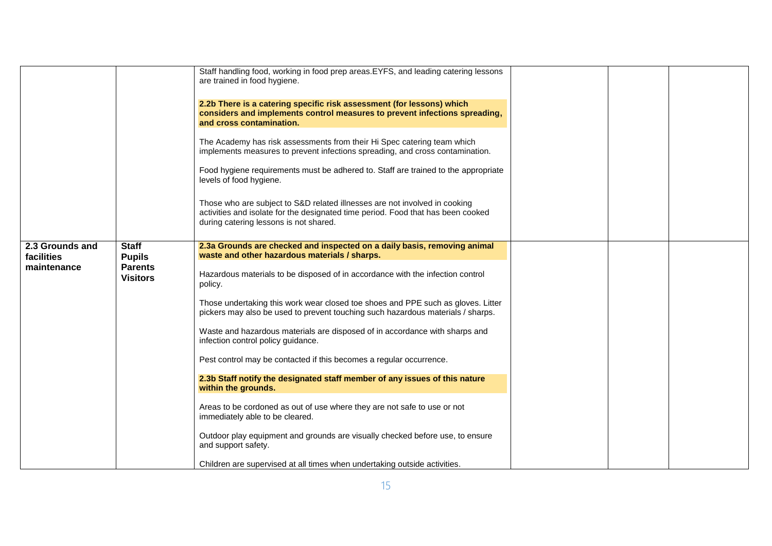|                               |                                   | Staff handling food, working in food prep areas.EYFS, and leading catering lessons<br>are trained in food hygiene.<br>2.2b There is a catering specific risk assessment (for lessons) which<br>considers and implements control measures to prevent infections spreading,<br>and cross contamination.<br>The Academy has risk assessments from their Hi Spec catering team which<br>implements measures to prevent infections spreading, and cross contamination.<br>Food hygiene requirements must be adhered to. Staff are trained to the appropriate<br>levels of food hygiene.<br>Those who are subject to S&D related illnesses are not involved in cooking<br>activities and isolate for the designated time period. Food that has been cooked<br>during catering lessons is not shared. |  |  |
|-------------------------------|-----------------------------------|------------------------------------------------------------------------------------------------------------------------------------------------------------------------------------------------------------------------------------------------------------------------------------------------------------------------------------------------------------------------------------------------------------------------------------------------------------------------------------------------------------------------------------------------------------------------------------------------------------------------------------------------------------------------------------------------------------------------------------------------------------------------------------------------|--|--|
| 2.3 Grounds and<br>facilities | <b>Staff</b><br><b>Pupils</b>     | 2.3a Grounds are checked and inspected on a daily basis, removing animal<br>waste and other hazardous materials / sharps.                                                                                                                                                                                                                                                                                                                                                                                                                                                                                                                                                                                                                                                                      |  |  |
| maintenance                   | <b>Parents</b><br><b>Visitors</b> | Hazardous materials to be disposed of in accordance with the infection control<br>policy.                                                                                                                                                                                                                                                                                                                                                                                                                                                                                                                                                                                                                                                                                                      |  |  |
|                               |                                   | Those undertaking this work wear closed toe shoes and PPE such as gloves. Litter<br>pickers may also be used to prevent touching such hazardous materials / sharps.                                                                                                                                                                                                                                                                                                                                                                                                                                                                                                                                                                                                                            |  |  |
|                               |                                   | Waste and hazardous materials are disposed of in accordance with sharps and<br>infection control policy guidance.                                                                                                                                                                                                                                                                                                                                                                                                                                                                                                                                                                                                                                                                              |  |  |
|                               |                                   | Pest control may be contacted if this becomes a regular occurrence.                                                                                                                                                                                                                                                                                                                                                                                                                                                                                                                                                                                                                                                                                                                            |  |  |
|                               |                                   | 2.3b Staff notify the designated staff member of any issues of this nature<br>within the grounds.                                                                                                                                                                                                                                                                                                                                                                                                                                                                                                                                                                                                                                                                                              |  |  |
|                               |                                   | Areas to be cordoned as out of use where they are not safe to use or not<br>immediately able to be cleared.                                                                                                                                                                                                                                                                                                                                                                                                                                                                                                                                                                                                                                                                                    |  |  |
|                               |                                   | Outdoor play equipment and grounds are visually checked before use, to ensure<br>and support safety.                                                                                                                                                                                                                                                                                                                                                                                                                                                                                                                                                                                                                                                                                           |  |  |
|                               |                                   | Children are supervised at all times when undertaking outside activities.                                                                                                                                                                                                                                                                                                                                                                                                                                                                                                                                                                                                                                                                                                                      |  |  |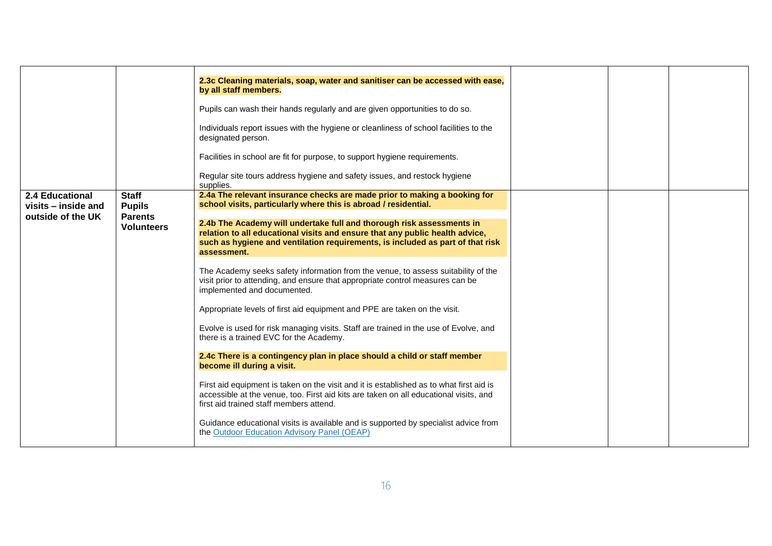|                                                             |                                                                      | 2.3c Cleaning materials, soap, water and sanitiser can be accessed with ease,<br>by all staff members.<br>Pupils can wash their hands regularly and are given opportunities to do so.<br>Individuals report issues with the hygiene or cleanliness of school facilities to the<br>designated person.<br>Facilities in school are fit for purpose, to support hygiene requirements.<br>Regular site tours address hygiene and safety issues, and restock hygiene<br>supplies. |  |  |
|-------------------------------------------------------------|----------------------------------------------------------------------|------------------------------------------------------------------------------------------------------------------------------------------------------------------------------------------------------------------------------------------------------------------------------------------------------------------------------------------------------------------------------------------------------------------------------------------------------------------------------|--|--|
| 2.4 Educational<br>visits - inside and<br>outside of the UK | <b>Staff</b><br><b>Pupils</b><br><b>Parents</b><br><b>Volunteers</b> | 2.4a The relevant insurance checks are made prior to making a booking for<br>school visits, particularly where this is abroad / residential.<br>2.4b The Academy will undertake full and thorough risk assessments in<br>relation to all educational visits and ensure that any public health advice,<br>such as hygiene and ventilation requirements, is included as part of that risk<br>assessment.                                                                       |  |  |
|                                                             |                                                                      | The Academy seeks safety information from the venue, to assess suitability of the<br>visit prior to attending, and ensure that appropriate control measures can be<br>implemented and documented.<br>Appropriate levels of first aid equipment and PPE are taken on the visit.<br>Evolve is used for risk managing visits. Staff are trained in the use of Evolve, and<br>there is a trained EVC for the Academy.                                                            |  |  |
|                                                             |                                                                      | 2.4c There is a contingency plan in place should a child or staff member<br>become ill during a visit.<br>First aid equipment is taken on the visit and it is established as to what first aid is<br>accessible at the venue, too. First aid kits are taken on all educational visits, and<br>first aid trained staff members attend.<br>Guidance educational visits is available and is supported by specialist advice from<br>the Outdoor Education Advisory Panel (OEAP)  |  |  |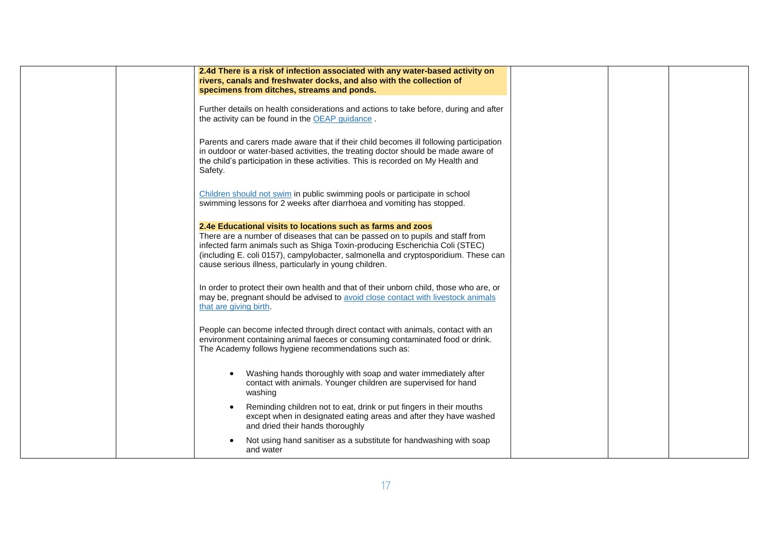| 2.4d There is a risk of infection associated with any water-based activity on<br>rivers, canals and freshwater docks, and also with the collection of<br>specimens from ditches, streams and ponds.                                                                                                                                                                         |  |  |
|-----------------------------------------------------------------------------------------------------------------------------------------------------------------------------------------------------------------------------------------------------------------------------------------------------------------------------------------------------------------------------|--|--|
| Further details on health considerations and actions to take before, during and after<br>the activity can be found in the OEAP guidance.                                                                                                                                                                                                                                    |  |  |
| Parents and carers made aware that if their child becomes ill following participation<br>in outdoor or water-based activities, the treating doctor should be made aware of<br>the child's participation in these activities. This is recorded on My Health and<br>Safety.                                                                                                   |  |  |
| Children should not swim in public swimming pools or participate in school<br>swimming lessons for 2 weeks after diarrhoea and vomiting has stopped.                                                                                                                                                                                                                        |  |  |
| 2.4e Educational visits to locations such as farms and zoos<br>There are a number of diseases that can be passed on to pupils and staff from<br>infected farm animals such as Shiga Toxin-producing Escherichia Coli (STEC)<br>(including E. coli 0157), campylobacter, salmonella and cryptosporidium. These can<br>cause serious illness, particularly in young children. |  |  |
| In order to protect their own health and that of their unborn child, those who are, or<br>may be, pregnant should be advised to avoid close contact with livestock animals<br>that are giving birth.                                                                                                                                                                        |  |  |
| People can become infected through direct contact with animals, contact with an<br>environment containing animal faeces or consuming contaminated food or drink.<br>The Academy follows hygiene recommendations such as:                                                                                                                                                    |  |  |
| Washing hands thoroughly with soap and water immediately after<br>contact with animals. Younger children are supervised for hand<br>washing                                                                                                                                                                                                                                 |  |  |
| Reminding children not to eat, drink or put fingers in their mouths<br>$\bullet$<br>except when in designated eating areas and after they have washed<br>and dried their hands thoroughly                                                                                                                                                                                   |  |  |
| Not using hand sanitiser as a substitute for handwashing with soap<br>and water                                                                                                                                                                                                                                                                                             |  |  |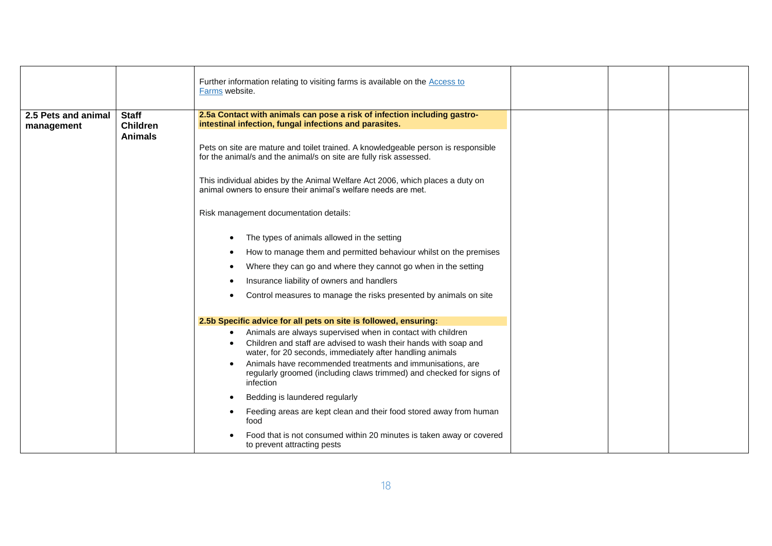|                                   |                                                   | Further information relating to visiting farms is available on the <b>Access to</b><br>Farms website.                                                                                                                                                                                                                                                                                                                                                                                                                                                                                                                                                                                                                                                                                                                                                       |  |
|-----------------------------------|---------------------------------------------------|-------------------------------------------------------------------------------------------------------------------------------------------------------------------------------------------------------------------------------------------------------------------------------------------------------------------------------------------------------------------------------------------------------------------------------------------------------------------------------------------------------------------------------------------------------------------------------------------------------------------------------------------------------------------------------------------------------------------------------------------------------------------------------------------------------------------------------------------------------------|--|
| 2.5 Pets and animal<br>management | <b>Staff</b><br><b>Children</b><br><b>Animals</b> | 2.5a Contact with animals can pose a risk of infection including gastro-<br>intestinal infection, fungal infections and parasites.<br>Pets on site are mature and toilet trained. A knowledgeable person is responsible<br>for the animal/s and the animal/s on site are fully risk assessed.<br>This individual abides by the Animal Welfare Act 2006, which places a duty on<br>animal owners to ensure their animal's welfare needs are met.<br>Risk management documentation details:<br>The types of animals allowed in the setting<br>$\bullet$<br>How to manage them and permitted behaviour whilst on the premises<br>٠<br>Where they can go and where they cannot go when in the setting<br>$\bullet$<br>Insurance liability of owners and handlers<br>$\bullet$<br>Control measures to manage the risks presented by animals on site<br>$\bullet$ |  |
|                                   |                                                   | 2.5b Specific advice for all pets on site is followed, ensuring:<br>Animals are always supervised when in contact with children<br>$\bullet$<br>Children and staff are advised to wash their hands with soap and<br>$\bullet$<br>water, for 20 seconds, immediately after handling animals<br>Animals have recommended treatments and immunisations, are<br>$\bullet$<br>regularly groomed (including claws trimmed) and checked for signs of<br>infection<br>Bedding is laundered regularly<br>$\bullet$<br>Feeding areas are kept clean and their food stored away from human<br>$\bullet$<br>food<br>Food that is not consumed within 20 minutes is taken away or covered<br>to prevent attracting pests                                                                                                                                                 |  |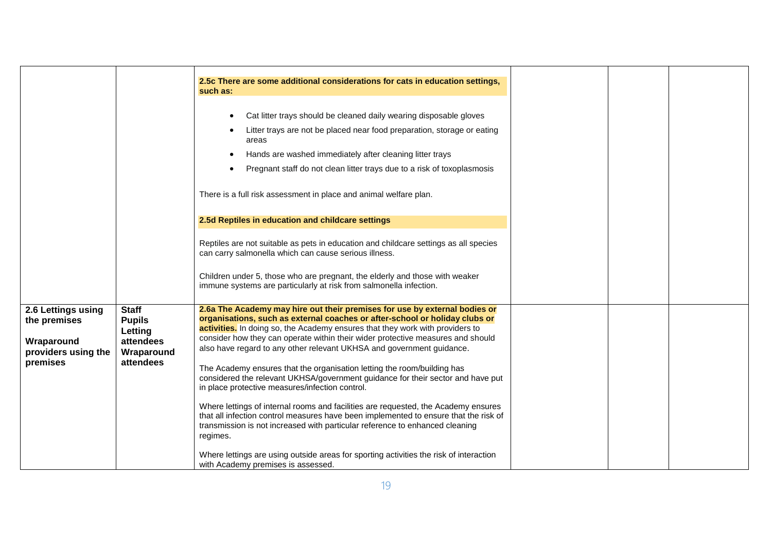|                                                                                     |                                                                                  | 2.5c There are some additional considerations for cats in education settings,<br>such as:                                                                                                                                                                                                                                                                                                                                                                                                                                                                                                                                                                                                                                                                                                                                                                                                         |  |  |
|-------------------------------------------------------------------------------------|----------------------------------------------------------------------------------|---------------------------------------------------------------------------------------------------------------------------------------------------------------------------------------------------------------------------------------------------------------------------------------------------------------------------------------------------------------------------------------------------------------------------------------------------------------------------------------------------------------------------------------------------------------------------------------------------------------------------------------------------------------------------------------------------------------------------------------------------------------------------------------------------------------------------------------------------------------------------------------------------|--|--|
|                                                                                     |                                                                                  | Cat litter trays should be cleaned daily wearing disposable gloves<br>Litter trays are not be placed near food preparation, storage or eating                                                                                                                                                                                                                                                                                                                                                                                                                                                                                                                                                                                                                                                                                                                                                     |  |  |
|                                                                                     |                                                                                  | areas                                                                                                                                                                                                                                                                                                                                                                                                                                                                                                                                                                                                                                                                                                                                                                                                                                                                                             |  |  |
|                                                                                     |                                                                                  | Hands are washed immediately after cleaning litter trays                                                                                                                                                                                                                                                                                                                                                                                                                                                                                                                                                                                                                                                                                                                                                                                                                                          |  |  |
|                                                                                     |                                                                                  | Pregnant staff do not clean litter trays due to a risk of toxoplasmosis                                                                                                                                                                                                                                                                                                                                                                                                                                                                                                                                                                                                                                                                                                                                                                                                                           |  |  |
|                                                                                     |                                                                                  | There is a full risk assessment in place and animal welfare plan.                                                                                                                                                                                                                                                                                                                                                                                                                                                                                                                                                                                                                                                                                                                                                                                                                                 |  |  |
|                                                                                     |                                                                                  | 2.5d Reptiles in education and childcare settings                                                                                                                                                                                                                                                                                                                                                                                                                                                                                                                                                                                                                                                                                                                                                                                                                                                 |  |  |
|                                                                                     |                                                                                  | Reptiles are not suitable as pets in education and childcare settings as all species<br>can carry salmonella which can cause serious illness.                                                                                                                                                                                                                                                                                                                                                                                                                                                                                                                                                                                                                                                                                                                                                     |  |  |
|                                                                                     |                                                                                  | Children under 5, those who are pregnant, the elderly and those with weaker<br>immune systems are particularly at risk from salmonella infection.                                                                                                                                                                                                                                                                                                                                                                                                                                                                                                                                                                                                                                                                                                                                                 |  |  |
| 2.6 Lettings using<br>the premises<br>Wraparound<br>providers using the<br>premises | <b>Staff</b><br><b>Pupils</b><br>Letting<br>attendees<br>Wraparound<br>attendees | 2.6a The Academy may hire out their premises for use by external bodies or<br>organisations, such as external coaches or after-school or holiday clubs or<br>activities. In doing so, the Academy ensures that they work with providers to<br>consider how they can operate within their wider protective measures and should<br>also have regard to any other relevant UKHSA and government guidance.<br>The Academy ensures that the organisation letting the room/building has<br>considered the relevant UKHSA/government guidance for their sector and have put<br>in place protective measures/infection control.<br>Where lettings of internal rooms and facilities are requested, the Academy ensures<br>that all infection control measures have been implemented to ensure that the risk of<br>transmission is not increased with particular reference to enhanced cleaning<br>regimes. |  |  |
|                                                                                     |                                                                                  | Where lettings are using outside areas for sporting activities the risk of interaction<br>with Academy premises is assessed.                                                                                                                                                                                                                                                                                                                                                                                                                                                                                                                                                                                                                                                                                                                                                                      |  |  |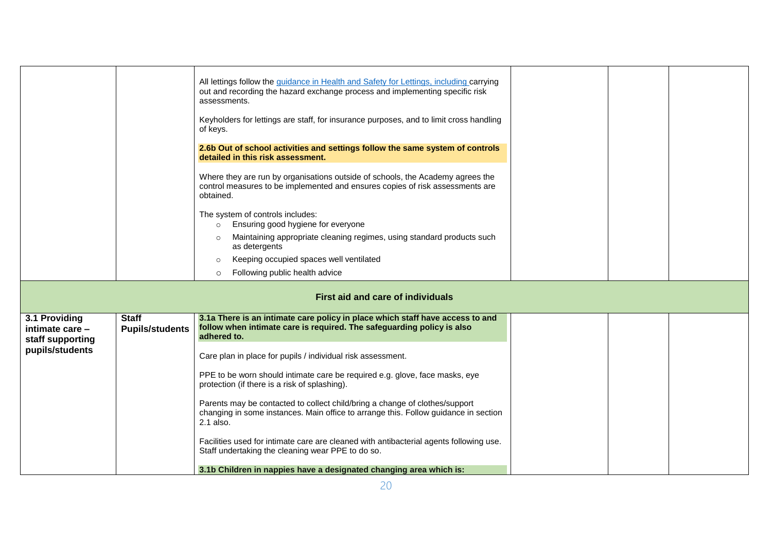|                                                      |                                        | All lettings follow the <i>guidance</i> in Health and Safety for Lettings, including carrying<br>out and recording the hazard exchange process and implementing specific risk<br>assessments.<br>Keyholders for lettings are staff, for insurance purposes, and to limit cross handling<br>of keys. |  |  |
|------------------------------------------------------|----------------------------------------|-----------------------------------------------------------------------------------------------------------------------------------------------------------------------------------------------------------------------------------------------------------------------------------------------------|--|--|
|                                                      |                                        | 2.6b Out of school activities and settings follow the same system of controls<br>detailed in this risk assessment.                                                                                                                                                                                  |  |  |
|                                                      |                                        | Where they are run by organisations outside of schools, the Academy agrees the<br>control measures to be implemented and ensures copies of risk assessments are<br>obtained.                                                                                                                        |  |  |
|                                                      |                                        | The system of controls includes:<br>Ensuring good hygiene for everyone<br>$\circ$                                                                                                                                                                                                                   |  |  |
|                                                      |                                        | Maintaining appropriate cleaning regimes, using standard products such<br>as detergents                                                                                                                                                                                                             |  |  |
|                                                      |                                        | Keeping occupied spaces well ventilated<br>$\circ$                                                                                                                                                                                                                                                  |  |  |
|                                                      |                                        | Following public health advice<br>$\circ$                                                                                                                                                                                                                                                           |  |  |
|                                                      |                                        | <b>First aid and care of individuals</b>                                                                                                                                                                                                                                                            |  |  |
| 3.1 Providing<br>intimate care -<br>staff supporting | <b>Staff</b><br><b>Pupils/students</b> | 3.1a There is an intimate care policy in place which staff have access to and<br>follow when intimate care is required. The safeguarding policy is also<br>adhered to.                                                                                                                              |  |  |
| pupils/students                                      |                                        | Care plan in place for pupils / individual risk assessment.                                                                                                                                                                                                                                         |  |  |
|                                                      |                                        | PPE to be worn should intimate care be required e.g. glove, face masks, eye<br>protection (if there is a risk of splashing).                                                                                                                                                                        |  |  |
|                                                      |                                        | Parents may be contacted to collect child/bring a change of clothes/support<br>changing in some instances. Main office to arrange this. Follow guidance in section<br>2.1 also.                                                                                                                     |  |  |
|                                                      |                                        | Facilities used for intimate care are cleaned with antibacterial agents following use.<br>Staff undertaking the cleaning wear PPE to do so.                                                                                                                                                         |  |  |
|                                                      |                                        | 3.1b Children in nappies have a designated changing area which is:                                                                                                                                                                                                                                  |  |  |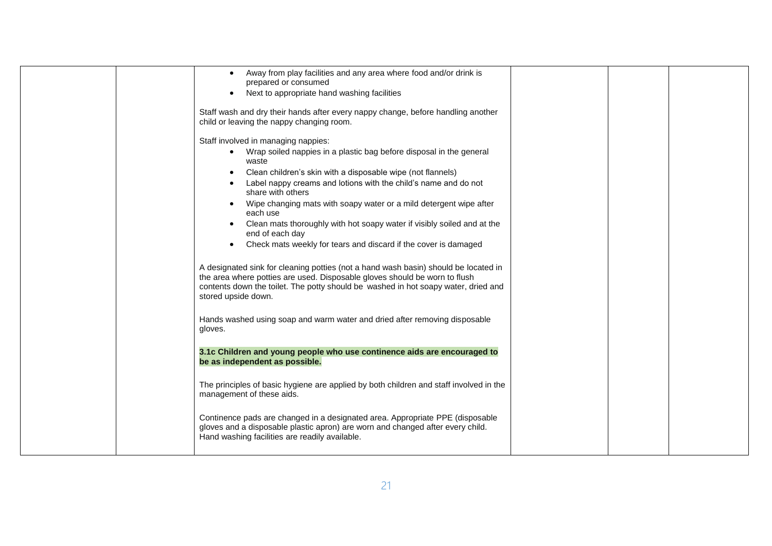|  | Away from play facilities and any area where food and/or drink is<br>prepared or consumed                                                                                                                                                                                      |  |  |
|--|--------------------------------------------------------------------------------------------------------------------------------------------------------------------------------------------------------------------------------------------------------------------------------|--|--|
|  | Next to appropriate hand washing facilities<br>$\bullet$                                                                                                                                                                                                                       |  |  |
|  | Staff wash and dry their hands after every nappy change, before handling another<br>child or leaving the nappy changing room.                                                                                                                                                  |  |  |
|  | Staff involved in managing nappies:                                                                                                                                                                                                                                            |  |  |
|  | Wrap soiled nappies in a plastic bag before disposal in the general<br>waste                                                                                                                                                                                                   |  |  |
|  | Clean children's skin with a disposable wipe (not flannels)                                                                                                                                                                                                                    |  |  |
|  | Label nappy creams and lotions with the child's name and do not<br>share with others                                                                                                                                                                                           |  |  |
|  | Wipe changing mats with soapy water or a mild detergent wipe after<br>$\bullet$<br>each use                                                                                                                                                                                    |  |  |
|  | Clean mats thoroughly with hot soapy water if visibly soiled and at the<br>end of each day                                                                                                                                                                                     |  |  |
|  | Check mats weekly for tears and discard if the cover is damaged<br>$\bullet$                                                                                                                                                                                                   |  |  |
|  | A designated sink for cleaning potties (not a hand wash basin) should be located in<br>the area where potties are used. Disposable gloves should be worn to flush<br>contents down the toilet. The potty should be washed in hot soapy water, dried and<br>stored upside down. |  |  |
|  | Hands washed using soap and warm water and dried after removing disposable<br>gloves.                                                                                                                                                                                          |  |  |
|  | 3.1c Children and young people who use continence aids are encouraged to<br>be as independent as possible.                                                                                                                                                                     |  |  |
|  | The principles of basic hygiene are applied by both children and staff involved in the<br>management of these aids.                                                                                                                                                            |  |  |
|  | Continence pads are changed in a designated area. Appropriate PPE (disposable<br>gloves and a disposable plastic apron) are worn and changed after every child.<br>Hand washing facilities are readily available.                                                              |  |  |
|  |                                                                                                                                                                                                                                                                                |  |  |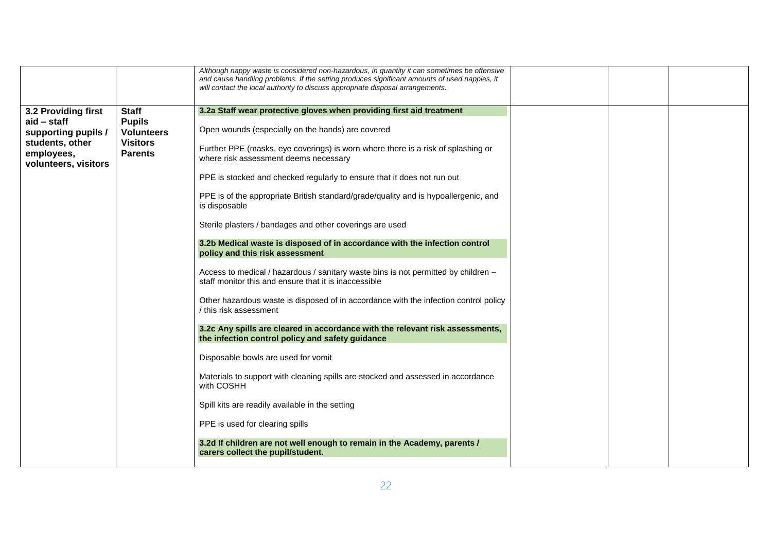| Although nappy waste is considered non-hazardous, in quantity it can sometimes be offensive<br>and cause handling problems. If the setting produces significant amounts of used nappies, it<br>will contact the local authority to discuss appropriate disposal arrangements.                                                                                                                                                                                                                                                                                                                                                                                                                                                                                                                                                                                                                                                                                                                                                                                                                                                                                                                                                                                                                                                                                                                                                                           |
|---------------------------------------------------------------------------------------------------------------------------------------------------------------------------------------------------------------------------------------------------------------------------------------------------------------------------------------------------------------------------------------------------------------------------------------------------------------------------------------------------------------------------------------------------------------------------------------------------------------------------------------------------------------------------------------------------------------------------------------------------------------------------------------------------------------------------------------------------------------------------------------------------------------------------------------------------------------------------------------------------------------------------------------------------------------------------------------------------------------------------------------------------------------------------------------------------------------------------------------------------------------------------------------------------------------------------------------------------------------------------------------------------------------------------------------------------------|
| 3.2a Staff wear protective gloves when providing first aid treatment<br><b>Pupils</b><br>Open wounds (especially on the hands) are covered<br><b>Volunteers</b><br><b>Visitors</b><br>Further PPE (masks, eye coverings) is worn where there is a risk of splashing or<br><b>Parents</b><br>where risk assessment deems necessary<br>PPE is stocked and checked regularly to ensure that it does not run out<br>PPE is of the appropriate British standard/grade/quality and is hypoallergenic, and<br>is disposable<br>Sterile plasters / bandages and other coverings are used<br>3.2b Medical waste is disposed of in accordance with the infection control<br>policy and this risk assessment<br>Access to medical / hazardous / sanitary waste bins is not permitted by children -<br>staff monitor this and ensure that it is inaccessible<br>Other hazardous waste is disposed of in accordance with the infection control policy<br>/ this risk assessment<br>3.2c Any spills are cleared in accordance with the relevant risk assessments,<br>the infection control policy and safety guidance<br>Disposable bowls are used for vomit<br>Materials to support with cleaning spills are stocked and assessed in accordance<br>with COSHH<br>Spill kits are readily available in the setting<br>PPE is used for clearing spills<br>3.2d If children are not well enough to remain in the Academy, parents /<br>carers collect the pupil/student. |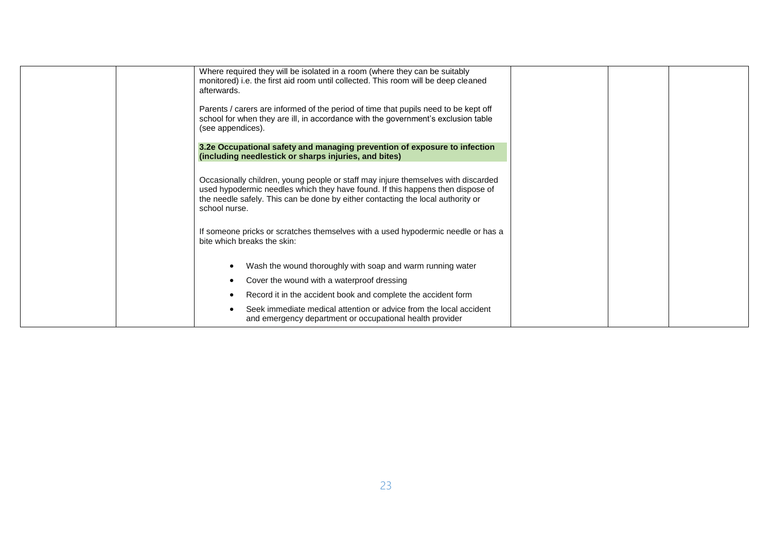| Where required they will be isolated in a room (where they can be suitably<br>monitored) i.e. the first aid room until collected. This room will be deep cleaned<br>afterwards.                                                                                         |  |
|-------------------------------------------------------------------------------------------------------------------------------------------------------------------------------------------------------------------------------------------------------------------------|--|
| Parents / carers are informed of the period of time that pupils need to be kept off<br>school for when they are ill, in accordance with the government's exclusion table<br>(see appendices).                                                                           |  |
| 3.2e Occupational safety and managing prevention of exposure to infection<br>(including needlestick or sharps injuries, and bites)                                                                                                                                      |  |
| Occasionally children, young people or staff may injure themselves with discarded<br>used hypodermic needles which they have found. If this happens then dispose of<br>the needle safely. This can be done by either contacting the local authority or<br>school nurse. |  |
| If someone pricks or scratches themselves with a used hypodermic needle or has a<br>bite which breaks the skin:                                                                                                                                                         |  |
| Wash the wound thoroughly with soap and warm running water<br>$\bullet$                                                                                                                                                                                                 |  |
| Cover the wound with a waterproof dressing<br>٠                                                                                                                                                                                                                         |  |
| Record it in the accident book and complete the accident form                                                                                                                                                                                                           |  |
| Seek immediate medical attention or advice from the local accident<br>and emergency department or occupational health provider                                                                                                                                          |  |
|                                                                                                                                                                                                                                                                         |  |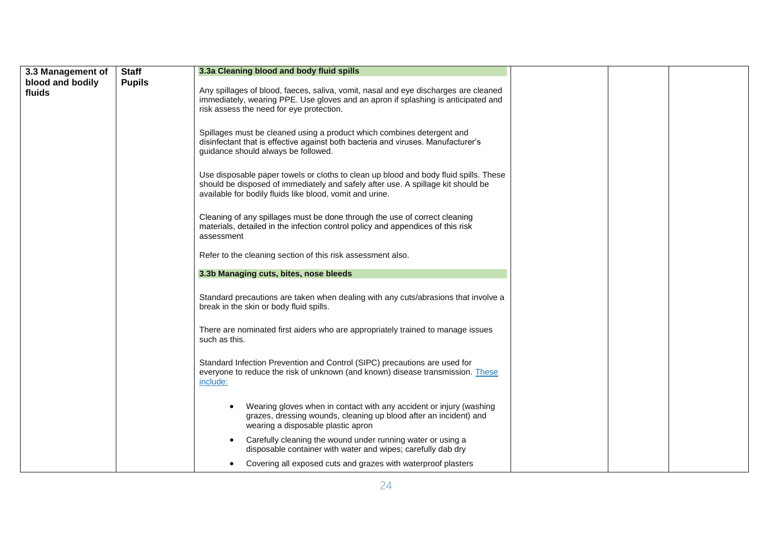| 3.3 Management of          | <b>Staff</b>  | 3.3a Cleaning blood and body fluid spills                                                                                                                                                                                            |  |  |
|----------------------------|---------------|--------------------------------------------------------------------------------------------------------------------------------------------------------------------------------------------------------------------------------------|--|--|
| blood and bodily<br>fluids | <b>Pupils</b> | Any spillages of blood, faeces, saliva, vomit, nasal and eye discharges are cleaned<br>immediately, wearing PPE. Use gloves and an apron if splashing is anticipated and<br>risk assess the need for eye protection.                 |  |  |
|                            |               | Spillages must be cleaned using a product which combines detergent and<br>disinfectant that is effective against both bacteria and viruses. Manufacturer's<br>guidance should always be followed.                                    |  |  |
|                            |               | Use disposable paper towels or cloths to clean up blood and body fluid spills. These<br>should be disposed of immediately and safely after use. A spillage kit should be<br>available for bodily fluids like blood, vomit and urine. |  |  |
|                            |               | Cleaning of any spillages must be done through the use of correct cleaning<br>materials, detailed in the infection control policy and appendices of this risk<br>assessment                                                          |  |  |
|                            |               | Refer to the cleaning section of this risk assessment also.                                                                                                                                                                          |  |  |
|                            |               | 3.3b Managing cuts, bites, nose bleeds                                                                                                                                                                                               |  |  |
|                            |               | Standard precautions are taken when dealing with any cuts/abrasions that involve a<br>break in the skin or body fluid spills.                                                                                                        |  |  |
|                            |               | There are nominated first aiders who are appropriately trained to manage issues<br>such as this.                                                                                                                                     |  |  |
|                            |               | Standard Infection Prevention and Control (SIPC) precautions are used for<br>everyone to reduce the risk of unknown (and known) disease transmission. These<br>include:                                                              |  |  |
|                            |               | Wearing gloves when in contact with any accident or injury (washing<br>grazes, dressing wounds, cleaning up blood after an incident) and<br>wearing a disposable plastic apron                                                       |  |  |
|                            |               | Carefully cleaning the wound under running water or using a<br>$\bullet$<br>disposable container with water and wipes; carefully dab dry                                                                                             |  |  |
|                            |               | Covering all exposed cuts and grazes with waterproof plasters                                                                                                                                                                        |  |  |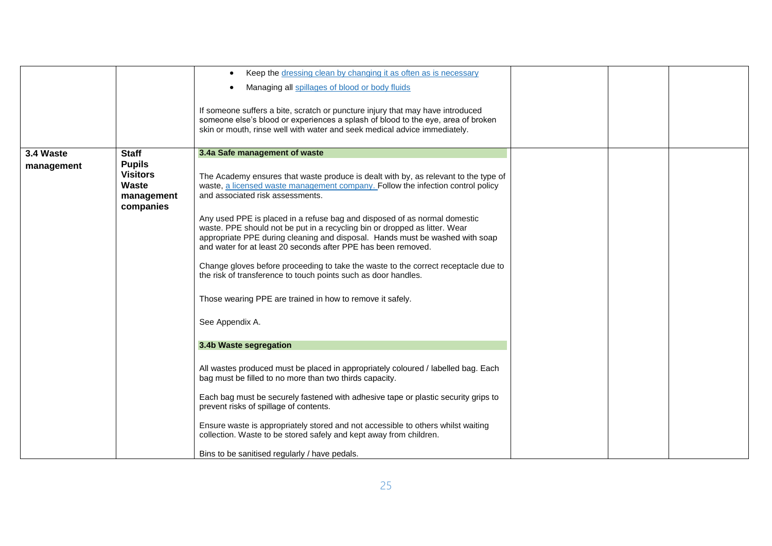|                         |                                                                                      | Keep the dressing clean by changing it as often as is necessary<br>$\bullet$<br>Managing all spillages of blood or body fluids<br>$\bullet$<br>If someone suffers a bite, scratch or puncture injury that may have introduced<br>someone else's blood or experiences a splash of blood to the eye, area of broken<br>skin or mouth, rinse well with water and seek medical advice immediately.                                                                                                                                                                                                                                                                                                                                                                                                                                                                                                                                                                                                                                                                                                                                                                                                                                                                      |  |  |
|-------------------------|--------------------------------------------------------------------------------------|---------------------------------------------------------------------------------------------------------------------------------------------------------------------------------------------------------------------------------------------------------------------------------------------------------------------------------------------------------------------------------------------------------------------------------------------------------------------------------------------------------------------------------------------------------------------------------------------------------------------------------------------------------------------------------------------------------------------------------------------------------------------------------------------------------------------------------------------------------------------------------------------------------------------------------------------------------------------------------------------------------------------------------------------------------------------------------------------------------------------------------------------------------------------------------------------------------------------------------------------------------------------|--|--|
| 3.4 Waste<br>management | <b>Staff</b><br><b>Pupils</b><br><b>Visitors</b><br>Waste<br>management<br>companies | 3.4a Safe management of waste<br>The Academy ensures that waste produce is dealt with by, as relevant to the type of<br>waste, a licensed waste management company. Follow the infection control policy<br>and associated risk assessments.<br>Any used PPE is placed in a refuse bag and disposed of as normal domestic<br>waste. PPE should not be put in a recycling bin or dropped as litter. Wear<br>appropriate PPE during cleaning and disposal. Hands must be washed with soap<br>and water for at least 20 seconds after PPE has been removed.<br>Change gloves before proceeding to take the waste to the correct receptacle due to<br>the risk of transference to touch points such as door handles.<br>Those wearing PPE are trained in how to remove it safely.<br>See Appendix A.<br>3.4b Waste segregation<br>All wastes produced must be placed in appropriately coloured / labelled bag. Each<br>bag must be filled to no more than two thirds capacity.<br>Each bag must be securely fastened with adhesive tape or plastic security grips to<br>prevent risks of spillage of contents.<br>Ensure waste is appropriately stored and not accessible to others whilst waiting<br>collection. Waste to be stored safely and kept away from children. |  |  |
|                         |                                                                                      | Bins to be sanitised regularly / have pedals.                                                                                                                                                                                                                                                                                                                                                                                                                                                                                                                                                                                                                                                                                                                                                                                                                                                                                                                                                                                                                                                                                                                                                                                                                       |  |  |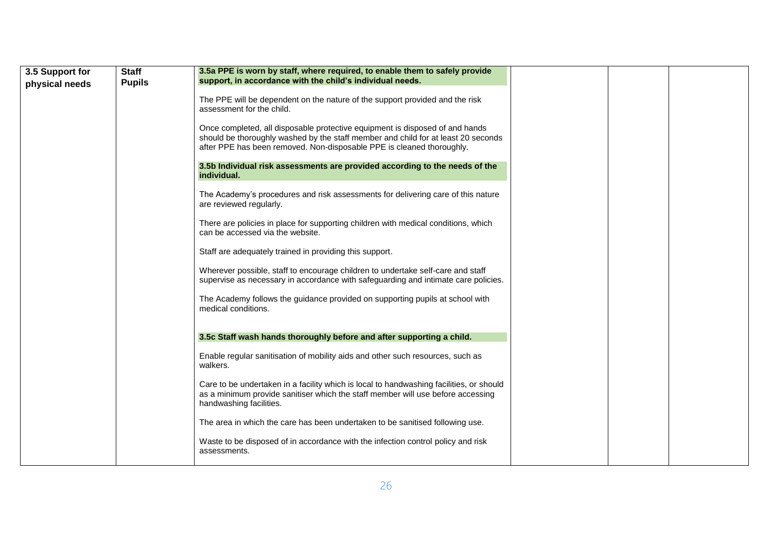| 3.5 Support for | <b>Staff</b>  | 3.5a PPE is worn by staff, where required, to enable them to safely provide                                                                                                                                                                |
|-----------------|---------------|--------------------------------------------------------------------------------------------------------------------------------------------------------------------------------------------------------------------------------------------|
| physical needs  | <b>Pupils</b> | support, in accordance with the child's individual needs.                                                                                                                                                                                  |
|                 |               | The PPE will be dependent on the nature of the support provided and the risk<br>assessment for the child.                                                                                                                                  |
|                 |               | Once completed, all disposable protective equipment is disposed of and hands<br>should be thoroughly washed by the staff member and child for at least 20 seconds<br>after PPE has been removed. Non-disposable PPE is cleaned thoroughly. |
|                 |               | 3.5b Individual risk assessments are provided according to the needs of the<br>individual.                                                                                                                                                 |
|                 |               | The Academy's procedures and risk assessments for delivering care of this nature<br>are reviewed regularly.                                                                                                                                |
|                 |               | There are policies in place for supporting children with medical conditions, which<br>can be accessed via the website.                                                                                                                     |
|                 |               | Staff are adequately trained in providing this support.                                                                                                                                                                                    |
|                 |               | Wherever possible, staff to encourage children to undertake self-care and staff<br>supervise as necessary in accordance with safeguarding and intimate care policies.                                                                      |
|                 |               | The Academy follows the guidance provided on supporting pupils at school with<br>medical conditions.                                                                                                                                       |
|                 |               | 3.5c Staff wash hands thoroughly before and after supporting a child.                                                                                                                                                                      |
|                 |               | Enable regular sanitisation of mobility aids and other such resources, such as<br>walkers.                                                                                                                                                 |
|                 |               | Care to be undertaken in a facility which is local to handwashing facilities, or should<br>as a minimum provide sanitiser which the staff member will use before accessing<br>handwashing facilities.                                      |
|                 |               | The area in which the care has been undertaken to be sanitised following use.                                                                                                                                                              |
|                 |               | Waste to be disposed of in accordance with the infection control policy and risk<br>assessments.                                                                                                                                           |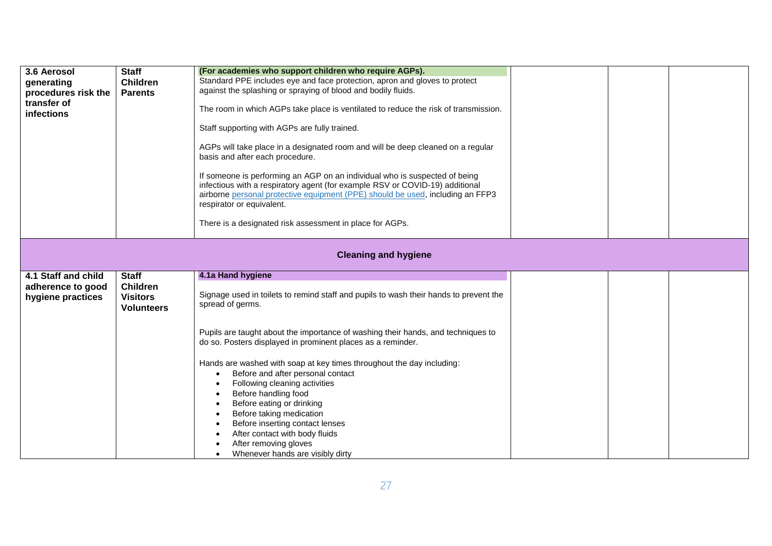| 3.6 Aerosol<br>generating<br>procedures risk the<br>transfer of<br><b>infections</b> | <b>Staff</b><br><b>Children</b><br><b>Parents</b>                       | (For academies who support children who require AGPs).<br>Standard PPE includes eye and face protection, apron and gloves to protect<br>against the splashing or spraying of blood and bodily fluids.<br>The room in which AGPs take place is ventilated to reduce the risk of transmission.<br>Staff supporting with AGPs are fully trained.<br>AGPs will take place in a designated room and will be deep cleaned on a regular<br>basis and after each procedure.<br>If someone is performing an AGP on an individual who is suspected of being<br>infectious with a respiratory agent (for example RSV or COVID-19) additional<br>airborne personal protective equipment (PPE) should be used, including an FFP3<br>respirator or equivalent.<br>There is a designated risk assessment in place for AGPs. |  |  |  |
|--------------------------------------------------------------------------------------|-------------------------------------------------------------------------|--------------------------------------------------------------------------------------------------------------------------------------------------------------------------------------------------------------------------------------------------------------------------------------------------------------------------------------------------------------------------------------------------------------------------------------------------------------------------------------------------------------------------------------------------------------------------------------------------------------------------------------------------------------------------------------------------------------------------------------------------------------------------------------------------------------|--|--|--|
|                                                                                      | <b>Cleaning and hygiene</b>                                             |                                                                                                                                                                                                                                                                                                                                                                                                                                                                                                                                                                                                                                                                                                                                                                                                              |  |  |  |
| 4.1 Staff and child<br>adherence to good<br>hygiene practices                        | <b>Staff</b><br><b>Children</b><br><b>Visitors</b><br><b>Volunteers</b> | 4.1a Hand hygiene<br>Signage used in toilets to remind staff and pupils to wash their hands to prevent the<br>spread of germs.<br>Pupils are taught about the importance of washing their hands, and techniques to<br>do so. Posters displayed in prominent places as a reminder.<br>Hands are washed with soap at key times throughout the day including:<br>Before and after personal contact<br>Following cleaning activities<br>Before handling food                                                                                                                                                                                                                                                                                                                                                     |  |  |  |
|                                                                                      |                                                                         | Before eating or drinking<br>Before taking medication<br>Before inserting contact lenses<br>After contact with body fluids<br>After removing gloves<br>Whenever hands are visibly dirty                                                                                                                                                                                                                                                                                                                                                                                                                                                                                                                                                                                                                      |  |  |  |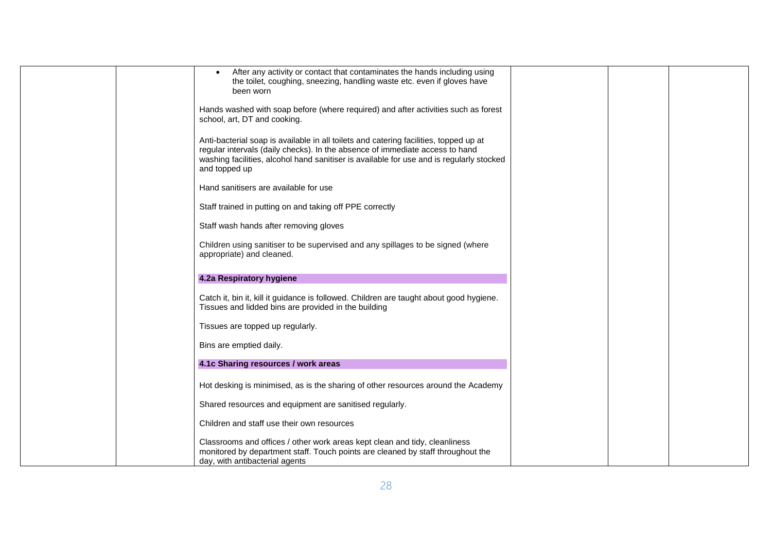| After any activity or contact that contaminates the hands including using<br>the toilet, coughing, sneezing, handling waste etc. even if gloves have<br>been worn                                                                                                                  |  |  |
|------------------------------------------------------------------------------------------------------------------------------------------------------------------------------------------------------------------------------------------------------------------------------------|--|--|
| Hands washed with soap before (where required) and after activities such as forest<br>school, art, DT and cooking.                                                                                                                                                                 |  |  |
| Anti-bacterial soap is available in all toilets and catering facilities, topped up at<br>regular intervals (daily checks). In the absence of immediate access to hand<br>washing facilities, alcohol hand sanitiser is available for use and is regularly stocked<br>and topped up |  |  |
| Hand sanitisers are available for use                                                                                                                                                                                                                                              |  |  |
| Staff trained in putting on and taking off PPE correctly                                                                                                                                                                                                                           |  |  |
| Staff wash hands after removing gloves                                                                                                                                                                                                                                             |  |  |
| Children using sanitiser to be supervised and any spillages to be signed (where<br>appropriate) and cleaned.                                                                                                                                                                       |  |  |
| 4.2a Respiratory hygiene                                                                                                                                                                                                                                                           |  |  |
| Catch it, bin it, kill it guidance is followed. Children are taught about good hygiene.<br>Tissues and lidded bins are provided in the building                                                                                                                                    |  |  |
| Tissues are topped up regularly.                                                                                                                                                                                                                                                   |  |  |
| Bins are emptied daily.                                                                                                                                                                                                                                                            |  |  |
| 4.1c Sharing resources / work areas                                                                                                                                                                                                                                                |  |  |
| Hot desking is minimised, as is the sharing of other resources around the Academy                                                                                                                                                                                                  |  |  |
| Shared resources and equipment are sanitised regularly.                                                                                                                                                                                                                            |  |  |
| Children and staff use their own resources                                                                                                                                                                                                                                         |  |  |
| Classrooms and offices / other work areas kept clean and tidy, cleanliness<br>monitored by department staff. Touch points are cleaned by staff throughout the<br>day, with antibacterial agents                                                                                    |  |  |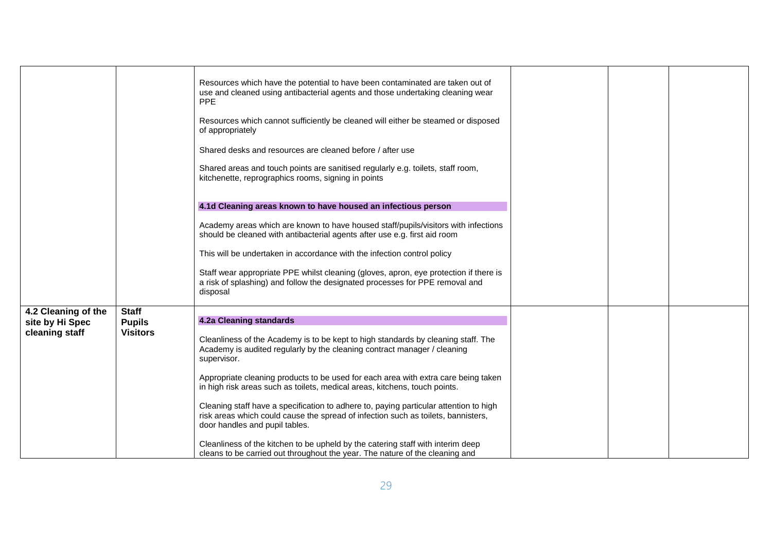|                                                          |                                                  | Resources which have the potential to have been contaminated are taken out of<br>use and cleaned using antibacterial agents and those undertaking cleaning wear<br><b>PPE</b><br>Resources which cannot sufficiently be cleaned will either be steamed or disposed<br>of appropriately<br>Shared desks and resources are cleaned before / after use<br>Shared areas and touch points are sanitised regularly e.g. toilets, staff room,<br>kitchenette, reprographics rooms, signing in points<br>4.1d Cleaning areas known to have housed an infectious person<br>Academy areas which are known to have housed staff/pupils/visitors with infections<br>should be cleaned with antibacterial agents after use e.g. first aid room<br>This will be undertaken in accordance with the infection control policy<br>Staff wear appropriate PPE whilst cleaning (gloves, apron, eye protection if there is<br>a risk of splashing) and follow the designated processes for PPE removal and<br>disposal |  |  |
|----------------------------------------------------------|--------------------------------------------------|---------------------------------------------------------------------------------------------------------------------------------------------------------------------------------------------------------------------------------------------------------------------------------------------------------------------------------------------------------------------------------------------------------------------------------------------------------------------------------------------------------------------------------------------------------------------------------------------------------------------------------------------------------------------------------------------------------------------------------------------------------------------------------------------------------------------------------------------------------------------------------------------------------------------------------------------------------------------------------------------------|--|--|
|                                                          |                                                  |                                                                                                                                                                                                                                                                                                                                                                                                                                                                                                                                                                                                                                                                                                                                                                                                                                                                                                                                                                                                   |  |  |
| 4.2 Cleaning of the<br>site by Hi Spec<br>cleaning staff | <b>Staff</b><br><b>Pupils</b><br><b>Visitors</b> | <b>4.2a Cleaning standards</b><br>Cleanliness of the Academy is to be kept to high standards by cleaning staff. The<br>Academy is audited regularly by the cleaning contract manager / cleaning<br>supervisor.<br>Appropriate cleaning products to be used for each area with extra care being taken<br>in high risk areas such as toilets, medical areas, kitchens, touch points.<br>Cleaning staff have a specification to adhere to, paying particular attention to high<br>risk areas which could cause the spread of infection such as toilets, bannisters,<br>door handles and pupil tables.<br>Cleanliness of the kitchen to be upheld by the catering staff with interim deep<br>cleans to be carried out throughout the year. The nature of the cleaning and                                                                                                                                                                                                                             |  |  |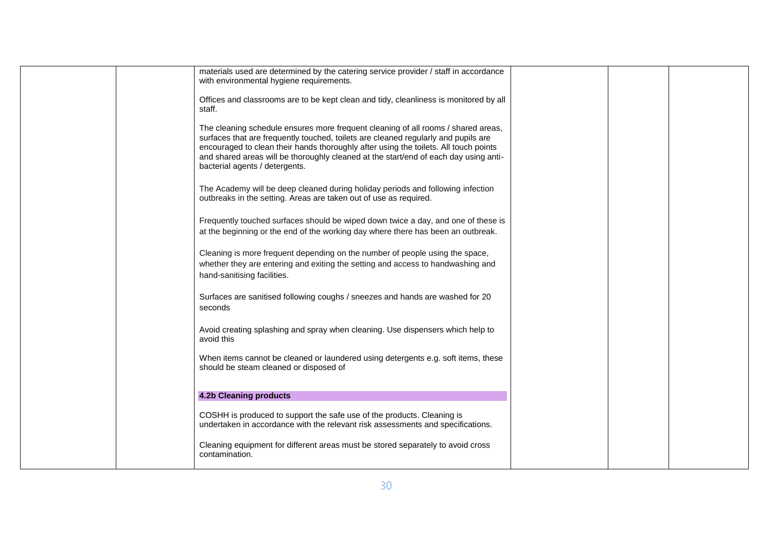|  | materials used are determined by the catering service provider / staff in accordance<br>with environmental hygiene requirements.                                                                                                                                                                                                                                                          |  |  |
|--|-------------------------------------------------------------------------------------------------------------------------------------------------------------------------------------------------------------------------------------------------------------------------------------------------------------------------------------------------------------------------------------------|--|--|
|  | Offices and classrooms are to be kept clean and tidy, cleanliness is monitored by all<br>staff.                                                                                                                                                                                                                                                                                           |  |  |
|  | The cleaning schedule ensures more frequent cleaning of all rooms / shared areas,<br>surfaces that are frequently touched, toilets are cleaned regularly and pupils are<br>encouraged to clean their hands thoroughly after using the toilets. All touch points<br>and shared areas will be thoroughly cleaned at the start/end of each day using anti-<br>bacterial agents / detergents. |  |  |
|  | The Academy will be deep cleaned during holiday periods and following infection<br>outbreaks in the setting. Areas are taken out of use as required.                                                                                                                                                                                                                                      |  |  |
|  | Frequently touched surfaces should be wiped down twice a day, and one of these is<br>at the beginning or the end of the working day where there has been an outbreak.                                                                                                                                                                                                                     |  |  |
|  | Cleaning is more frequent depending on the number of people using the space,<br>whether they are entering and exiting the setting and access to handwashing and<br>hand-sanitising facilities.                                                                                                                                                                                            |  |  |
|  | Surfaces are sanitised following coughs / sneezes and hands are washed for 20<br>seconds                                                                                                                                                                                                                                                                                                  |  |  |
|  | Avoid creating splashing and spray when cleaning. Use dispensers which help to<br>avoid this                                                                                                                                                                                                                                                                                              |  |  |
|  | When items cannot be cleaned or laundered using detergents e.g. soft items, these<br>should be steam cleaned or disposed of                                                                                                                                                                                                                                                               |  |  |
|  | <b>4.2b Cleaning products</b>                                                                                                                                                                                                                                                                                                                                                             |  |  |
|  | COSHH is produced to support the safe use of the products. Cleaning is<br>undertaken in accordance with the relevant risk assessments and specifications.                                                                                                                                                                                                                                 |  |  |
|  | Cleaning equipment for different areas must be stored separately to avoid cross<br>contamination.                                                                                                                                                                                                                                                                                         |  |  |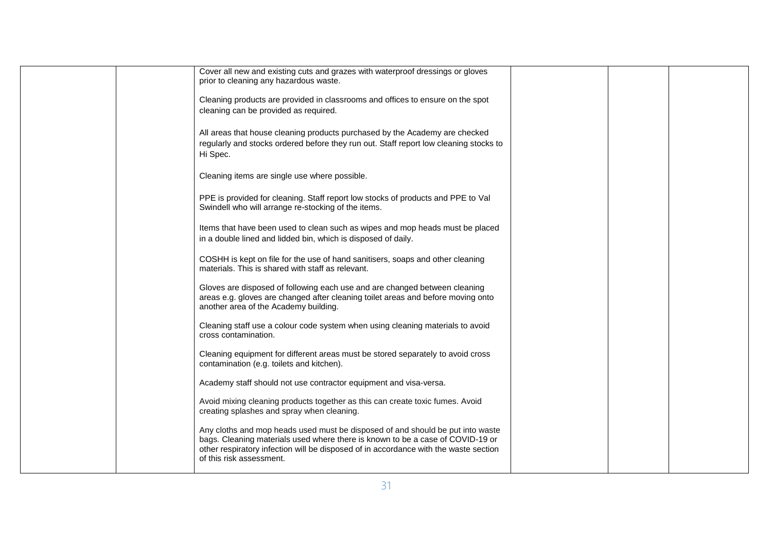|  | Cover all new and existing cuts and grazes with waterproof dressings or gloves<br>prior to cleaning any hazardous waste.                                                                                                                                                             |  |  |
|--|--------------------------------------------------------------------------------------------------------------------------------------------------------------------------------------------------------------------------------------------------------------------------------------|--|--|
|  | Cleaning products are provided in classrooms and offices to ensure on the spot<br>cleaning can be provided as required.                                                                                                                                                              |  |  |
|  | All areas that house cleaning products purchased by the Academy are checked<br>regularly and stocks ordered before they run out. Staff report low cleaning stocks to<br>Hi Spec.                                                                                                     |  |  |
|  | Cleaning items are single use where possible.                                                                                                                                                                                                                                        |  |  |
|  | PPE is provided for cleaning. Staff report low stocks of products and PPE to Val<br>Swindell who will arrange re-stocking of the items.                                                                                                                                              |  |  |
|  | Items that have been used to clean such as wipes and mop heads must be placed<br>in a double lined and lidded bin, which is disposed of daily.                                                                                                                                       |  |  |
|  | COSHH is kept on file for the use of hand sanitisers, soaps and other cleaning<br>materials. This is shared with staff as relevant.                                                                                                                                                  |  |  |
|  | Gloves are disposed of following each use and are changed between cleaning<br>areas e.g. gloves are changed after cleaning toilet areas and before moving onto<br>another area of the Academy building.                                                                              |  |  |
|  | Cleaning staff use a colour code system when using cleaning materials to avoid<br>cross contamination.                                                                                                                                                                               |  |  |
|  | Cleaning equipment for different areas must be stored separately to avoid cross<br>contamination (e.g. toilets and kitchen).                                                                                                                                                         |  |  |
|  | Academy staff should not use contractor equipment and visa-versa.                                                                                                                                                                                                                    |  |  |
|  | Avoid mixing cleaning products together as this can create toxic fumes. Avoid<br>creating splashes and spray when cleaning.                                                                                                                                                          |  |  |
|  | Any cloths and mop heads used must be disposed of and should be put into waste<br>bags. Cleaning materials used where there is known to be a case of COVID-19 or<br>other respiratory infection will be disposed of in accordance with the waste section<br>of this risk assessment. |  |  |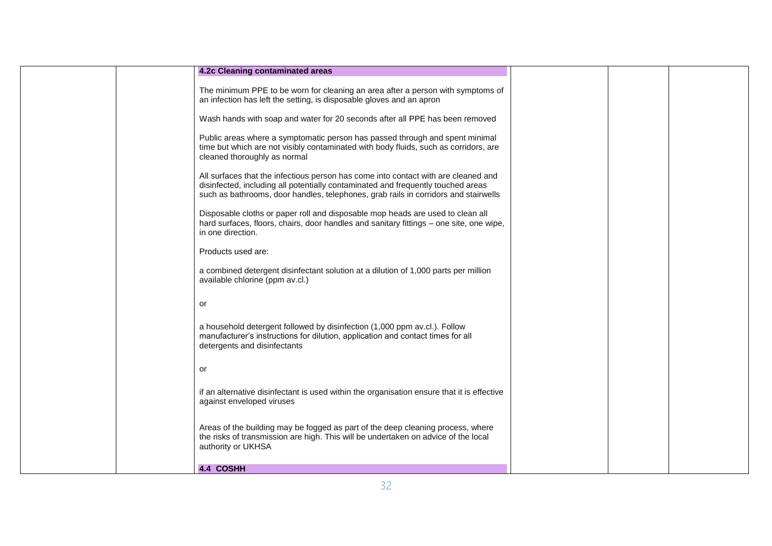| 4.2c Cleaning contaminated areas                                                                                                                                                                                                                              |  |  |
|---------------------------------------------------------------------------------------------------------------------------------------------------------------------------------------------------------------------------------------------------------------|--|--|
| The minimum PPE to be worn for cleaning an area after a person with symptoms of<br>an infection has left the setting, is disposable gloves and an apron                                                                                                       |  |  |
| Wash hands with soap and water for 20 seconds after all PPE has been removed                                                                                                                                                                                  |  |  |
| Public areas where a symptomatic person has passed through and spent minimal<br>time but which are not visibly contaminated with body fluids, such as corridors, are<br>cleaned thoroughly as normal                                                          |  |  |
| All surfaces that the infectious person has come into contact with are cleaned and<br>disinfected, including all potentially contaminated and frequently touched areas<br>such as bathrooms, door handles, telephones, grab rails in corridors and stairwells |  |  |
| Disposable cloths or paper roll and disposable mop heads are used to clean all<br>hard surfaces, floors, chairs, door handles and sanitary fittings - one site, one wipe,<br>in one direction.                                                                |  |  |
| Products used are:                                                                                                                                                                                                                                            |  |  |
| a combined detergent disinfectant solution at a dilution of 1,000 parts per million<br>available chlorine (ppm av.cl.)                                                                                                                                        |  |  |
| or                                                                                                                                                                                                                                                            |  |  |
| a household detergent followed by disinfection (1,000 ppm av.cl.). Follow<br>manufacturer's instructions for dilution, application and contact times for all<br>detergents and disinfectants                                                                  |  |  |
| or                                                                                                                                                                                                                                                            |  |  |
| if an alternative disinfectant is used within the organisation ensure that it is effective<br>against enveloped viruses                                                                                                                                       |  |  |
| Areas of the building may be fogged as part of the deep cleaning process, where<br>the risks of transmission are high. This will be undertaken on advice of the local<br>authority or UKHSA                                                                   |  |  |
| 4.4 COSHH                                                                                                                                                                                                                                                     |  |  |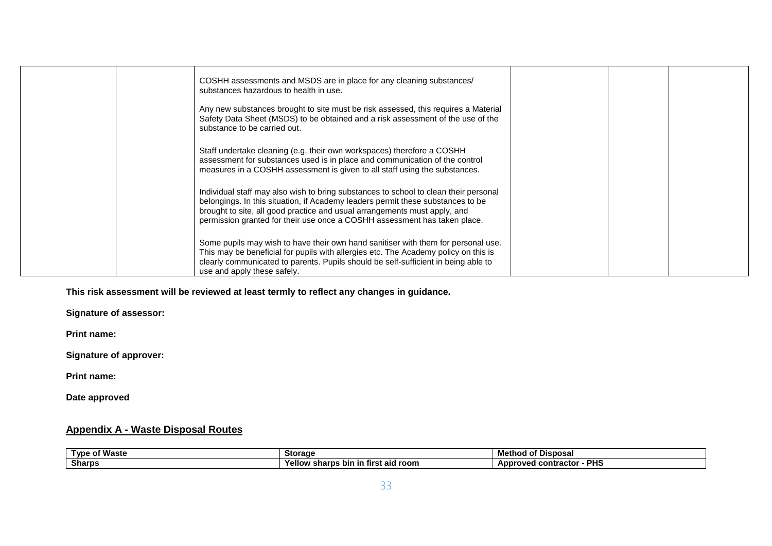|  | COSHH assessments and MSDS are in place for any cleaning substances/<br>substances hazardous to health in use.                                                                                                                                                                                                                    |  |  |
|--|-----------------------------------------------------------------------------------------------------------------------------------------------------------------------------------------------------------------------------------------------------------------------------------------------------------------------------------|--|--|
|  | Any new substances brought to site must be risk assessed, this requires a Material<br>Safety Data Sheet (MSDS) to be obtained and a risk assessment of the use of the<br>substance to be carried out.                                                                                                                             |  |  |
|  | Staff undertake cleaning (e.g. their own workspaces) therefore a COSHH<br>assessment for substances used is in place and communication of the control<br>measures in a COSHH assessment is given to all staff using the substances.                                                                                               |  |  |
|  | Individual staff may also wish to bring substances to school to clean their personal<br>belongings. In this situation, if Academy leaders permit these substances to be<br>brought to site, all good practice and usual arrangements must apply, and<br>permission granted for their use once a COSHH assessment has taken place. |  |  |
|  | Some pupils may wish to have their own hand sanitiser with them for personal use.<br>This may be beneficial for pupils with allergies etc. The Academy policy on this is<br>clearly communicated to parents. Pupils should be self-sufficient in being able to<br>use and apply these safely.                                     |  |  |

# **This risk assessment will be reviewed at least termly to reflect any changes in guidance.**

**Signature of assessor:**

**Print name:**

**Signature of approver:**

**Print name:**

**Date approved**

## **Appendix A - Waste Disposal Routes**

| .<br>Tvn∈<br><b>Waste</b><br>$\sim$<br>. | Storage                                             | Disposa.<br>Methoc<br>ОT                  |
|------------------------------------------|-----------------------------------------------------|-------------------------------------------|
| <b>Sharps</b>                            | ∶aid room<br>ellow<br>sharps<br>bin<br>⊤tırst<br>ın | <b>PHS</b><br>oved<br>l contractor<br>ADP |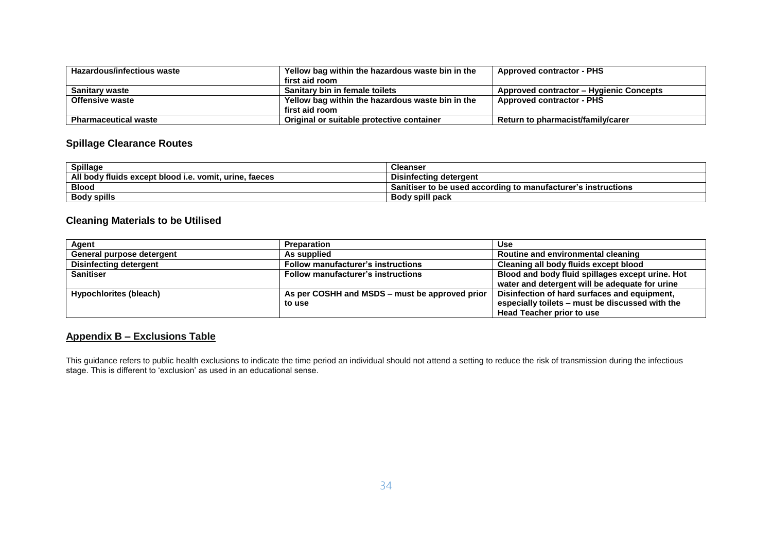| <b>Hazardous/infectious waste</b> | Yellow bag within the hazardous waste bin in the | <b>Approved contractor - PHS</b>               |
|-----------------------------------|--------------------------------------------------|------------------------------------------------|
|                                   | first aid room                                   |                                                |
| <b>Sanitary waste</b>             | Sanitary bin in female toilets                   | <b>Approved contractor - Hygienic Concepts</b> |
| <b>Offensive waste</b>            | Yellow bag within the hazardous waste bin in the | <b>Approved contractor - PHS</b>               |
|                                   | first aid room                                   |                                                |
| <b>Pharmaceutical waste</b>       | Original or suitable protective container        | Return to pharmacist/family/carer              |

# **Spillage Clearance Routes**

| <b>Spillage</b>                                                 | <b>Cleanser</b>                                               |
|-----------------------------------------------------------------|---------------------------------------------------------------|
| All body fluids except blood i.e.<br>vomit.<br>taeces<br>urine. | Disinfecting<br>' deteraent                                   |
| <b>Blood</b>                                                    | Sanitiser to be used according to manufacturer's instructions |
| <b>Body spills</b>                                              | <br>Body spill pack                                           |

## **Cleaning Materials to be Utilised**

| Agent                     | Preparation                                    | <b>Use</b>                                       |
|---------------------------|------------------------------------------------|--------------------------------------------------|
| General purpose detergent | As supplied                                    | Routine and environmental cleaning               |
| Disinfecting detergent    | <b>Follow manufacturer's instructions</b>      | <b>Cleaning all body fluids except blood</b>     |
| <b>Sanitiser</b>          | <b>Follow manufacturer's instructions</b>      | Blood and body fluid spillages except urine. Hot |
|                           |                                                | water and detergent will be adequate for urine   |
| Hypochlorites (bleach)    | As per COSHH and MSDS – must be approved prior | Disinfection of hard surfaces and equipment,     |
|                           | to use                                         | especially toilets - must be discussed with the  |
|                           |                                                | <b>Head Teacher prior to use</b>                 |

# **Appendix B – Exclusions Table**

This guidance refers to public health exclusions to indicate the time period an individual should not attend a setting to reduce the risk of transmission during the infectious stage. This is different to 'exclusion' as used in an educational sense.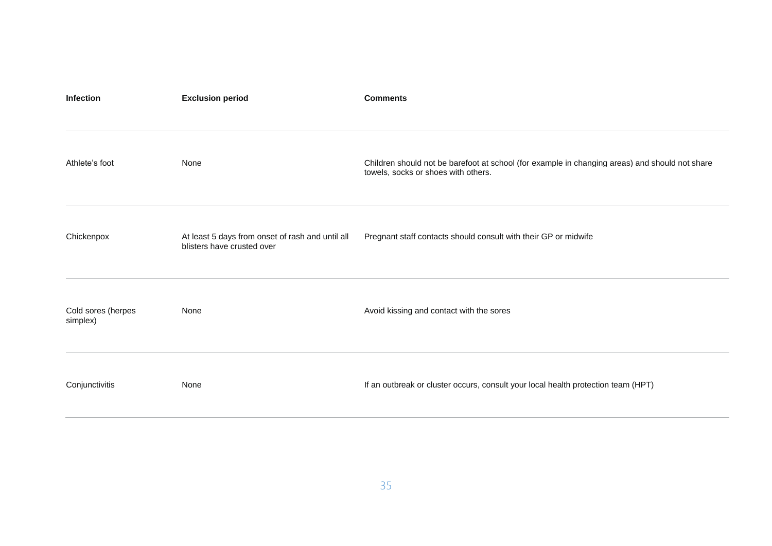| <b>Infection</b>               | <b>Exclusion period</b>                                                        | <b>Comments</b>                                                                                                                       |
|--------------------------------|--------------------------------------------------------------------------------|---------------------------------------------------------------------------------------------------------------------------------------|
| Athlete's foot                 | None                                                                           | Children should not be barefoot at school (for example in changing areas) and should not share<br>towels, socks or shoes with others. |
| Chickenpox                     | At least 5 days from onset of rash and until all<br>blisters have crusted over | Pregnant staff contacts should consult with their GP or midwife                                                                       |
| Cold sores (herpes<br>simplex) | None                                                                           | Avoid kissing and contact with the sores                                                                                              |
| Conjunctivitis                 | None                                                                           | If an outbreak or cluster occurs, consult your local health protection team (HPT)                                                     |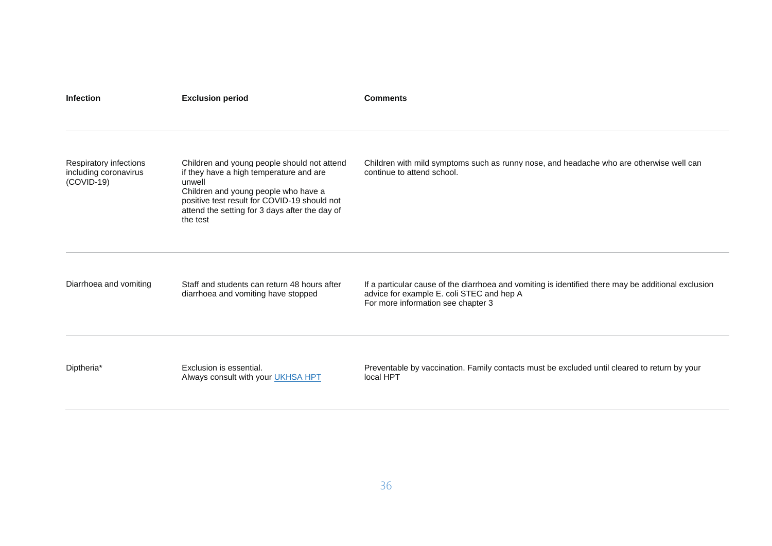| <b>Infection</b>                                                | <b>Exclusion period</b>                                                                                                                                                                                                                                | <b>Comments</b>                                                                                                                                                                        |
|-----------------------------------------------------------------|--------------------------------------------------------------------------------------------------------------------------------------------------------------------------------------------------------------------------------------------------------|----------------------------------------------------------------------------------------------------------------------------------------------------------------------------------------|
|                                                                 |                                                                                                                                                                                                                                                        |                                                                                                                                                                                        |
| Respiratory infections<br>including coronavirus<br>$(COVID-19)$ | Children and young people should not attend<br>if they have a high temperature and are<br>unwell<br>Children and young people who have a<br>positive test result for COVID-19 should not<br>attend the setting for 3 days after the day of<br>the test | Children with mild symptoms such as runny nose, and headache who are otherwise well can<br>continue to attend school.                                                                  |
| Diarrhoea and vomiting                                          | Staff and students can return 48 hours after<br>diarrhoea and vomiting have stopped                                                                                                                                                                    | If a particular cause of the diarrhoea and vomiting is identified there may be additional exclusion<br>advice for example E. coli STEC and hep A<br>For more information see chapter 3 |
| Diptheria*                                                      | Exclusion is essential.<br>Always consult with your UKHSA HPT                                                                                                                                                                                          | Preventable by vaccination. Family contacts must be excluded until cleared to return by your<br>local HPT                                                                              |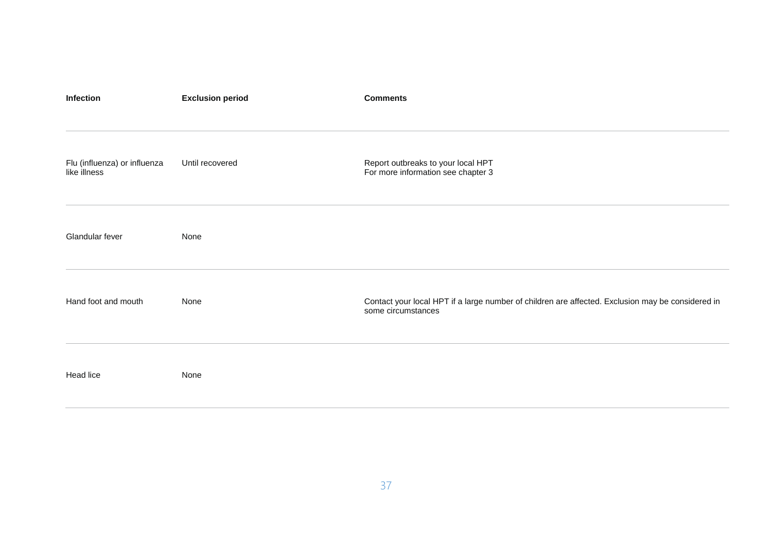| Infection                                    | <b>Exclusion period</b> | <b>Comments</b>                                                                                                         |
|----------------------------------------------|-------------------------|-------------------------------------------------------------------------------------------------------------------------|
| Flu (influenza) or influenza<br>like illness | Until recovered         | Report outbreaks to your local HPT<br>For more information see chapter 3                                                |
| Glandular fever                              | None                    |                                                                                                                         |
| Hand foot and mouth                          | None                    | Contact your local HPT if a large number of children are affected. Exclusion may be considered in<br>some circumstances |
| Head lice                                    | None                    |                                                                                                                         |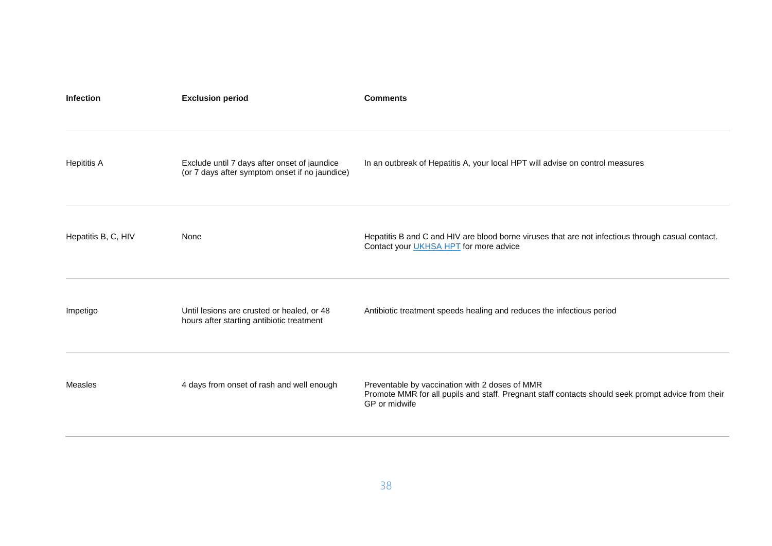| <b>Infection</b>    | <b>Exclusion period</b>                                                                        | <b>Comments</b>                                                                                                                                                       |
|---------------------|------------------------------------------------------------------------------------------------|-----------------------------------------------------------------------------------------------------------------------------------------------------------------------|
| <b>Hepititis A</b>  | Exclude until 7 days after onset of jaundice<br>(or 7 days after symptom onset if no jaundice) | In an outbreak of Hepatitis A, your local HPT will advise on control measures                                                                                         |
| Hepatitis B, C, HIV | None                                                                                           | Hepatitis B and C and HIV are blood borne viruses that are not infectious through casual contact.<br>Contact your UKHSA HPT for more advice                           |
| Impetigo            | Until lesions are crusted or healed, or 48<br>hours after starting antibiotic treatment        | Antibiotic treatment speeds healing and reduces the infectious period                                                                                                 |
| Measles             | 4 days from onset of rash and well enough                                                      | Preventable by vaccination with 2 doses of MMR<br>Promote MMR for all pupils and staff. Pregnant staff contacts should seek prompt advice from their<br>GP or midwife |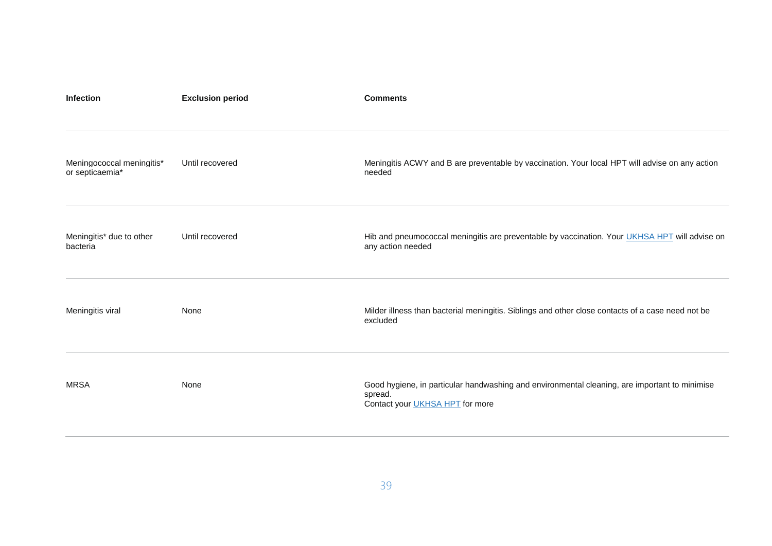| <b>Infection</b>                             | <b>Exclusion period</b> | <b>Comments</b>                                                                                                                                    |
|----------------------------------------------|-------------------------|----------------------------------------------------------------------------------------------------------------------------------------------------|
| Meningococcal meningitis*<br>or septicaemia* | Until recovered         | Meningitis ACWY and B are preventable by vaccination. Your local HPT will advise on any action<br>needed                                           |
| Meningitis* due to other<br>bacteria         | Until recovered         | Hib and pneumococcal meningitis are preventable by vaccination. Your UKHSA HPT will advise on<br>any action needed                                 |
| Meningitis viral                             | None                    | Milder illness than bacterial meningitis. Siblings and other close contacts of a case need not be<br>excluded                                      |
| <b>MRSA</b>                                  | None                    | Good hygiene, in particular handwashing and environmental cleaning, are important to minimise<br>spread.<br>Contact your <b>UKHSA HPT</b> for more |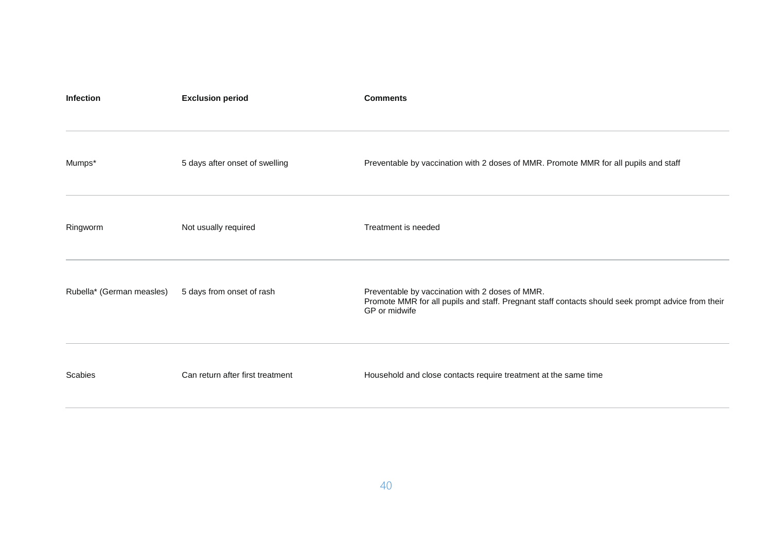| <b>Infection</b>          | <b>Exclusion period</b>          | <b>Comments</b>                                                                                                                                                        |
|---------------------------|----------------------------------|------------------------------------------------------------------------------------------------------------------------------------------------------------------------|
| Mumps*                    | 5 days after onset of swelling   | Preventable by vaccination with 2 doses of MMR. Promote MMR for all pupils and staff                                                                                   |
| Ringworm                  | Not usually required             | Treatment is needed                                                                                                                                                    |
| Rubella* (German measles) | 5 days from onset of rash        | Preventable by vaccination with 2 doses of MMR.<br>Promote MMR for all pupils and staff. Pregnant staff contacts should seek prompt advice from their<br>GP or midwife |
| Scabies                   | Can return after first treatment | Household and close contacts require treatment at the same time                                                                                                        |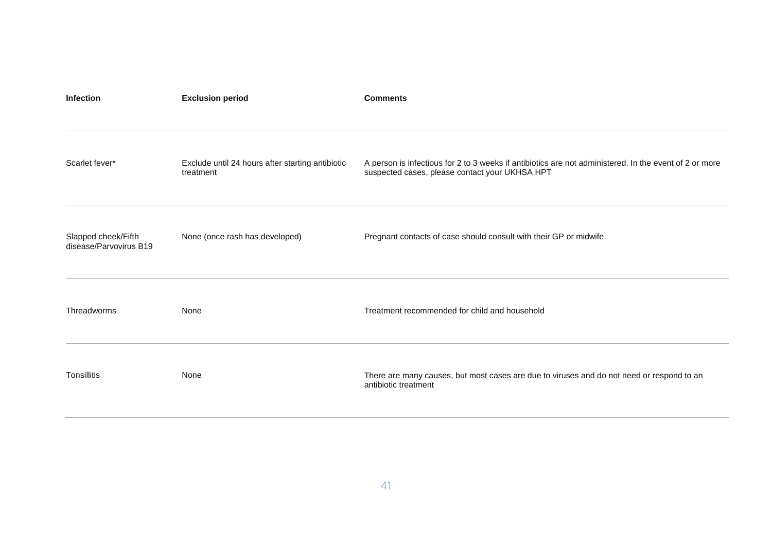| <b>Infection</b>                              | <b>Exclusion period</b>                                       | <b>Comments</b>                                                                                                                                          |
|-----------------------------------------------|---------------------------------------------------------------|----------------------------------------------------------------------------------------------------------------------------------------------------------|
| Scarlet fever*                                | Exclude until 24 hours after starting antibiotic<br>treatment | A person is infectious for 2 to 3 weeks if antibiotics are not administered. In the event of 2 or more<br>suspected cases, please contact your UKHSA HPT |
| Slapped cheek/Fifth<br>disease/Parvovirus B19 | None (once rash has developed)                                | Pregnant contacts of case should consult with their GP or midwife                                                                                        |
| Threadworms                                   | None                                                          | Treatment recommended for child and household                                                                                                            |
| Tonsillitis                                   | None                                                          | There are many causes, but most cases are due to viruses and do not need or respond to an<br>antibiotic treatment                                        |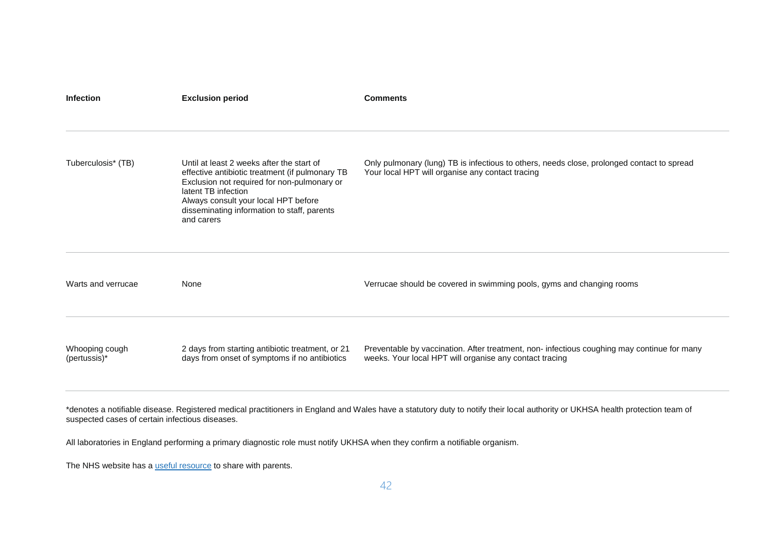| <b>Infection</b>               | <b>Exclusion period</b>                                                                                                                                                                                                                                                 | <b>Comments</b>                                                                                                                                        |
|--------------------------------|-------------------------------------------------------------------------------------------------------------------------------------------------------------------------------------------------------------------------------------------------------------------------|--------------------------------------------------------------------------------------------------------------------------------------------------------|
| Tuberculosis* (TB)             | Until at least 2 weeks after the start of<br>effective antibiotic treatment (if pulmonary TB<br>Exclusion not required for non-pulmonary or<br>latent TB infection<br>Always consult your local HPT before<br>disseminating information to staff, parents<br>and carers | Only pulmonary (lung) TB is infectious to others, needs close, prolonged contact to spread<br>Your local HPT will organise any contact tracing         |
| Warts and verrucae             | None                                                                                                                                                                                                                                                                    | Verrucae should be covered in swimming pools, gyms and changing rooms                                                                                  |
| Whooping cough<br>(pertussis)* | 2 days from starting antibiotic treatment, or 21<br>days from onset of symptoms if no antibiotics                                                                                                                                                                       | Preventable by vaccination. After treatment, non- infectious coughing may continue for many<br>weeks. Your local HPT will organise any contact tracing |

\*denotes a notifiable disease. Registered medical practitioners in England and Wales have a statutory duty to notify their local authority or UKHSA health protection team of suspected cases of certain infectious diseases.

All laboratories in England performing a primary diagnostic role must notify UKHSA when they confirm a notifiable organism.

The NHS website has a [useful resource](https://www.nhs.uk/live-well/healthy-body/is-my-child-too-ill-for-school/) to share with parents.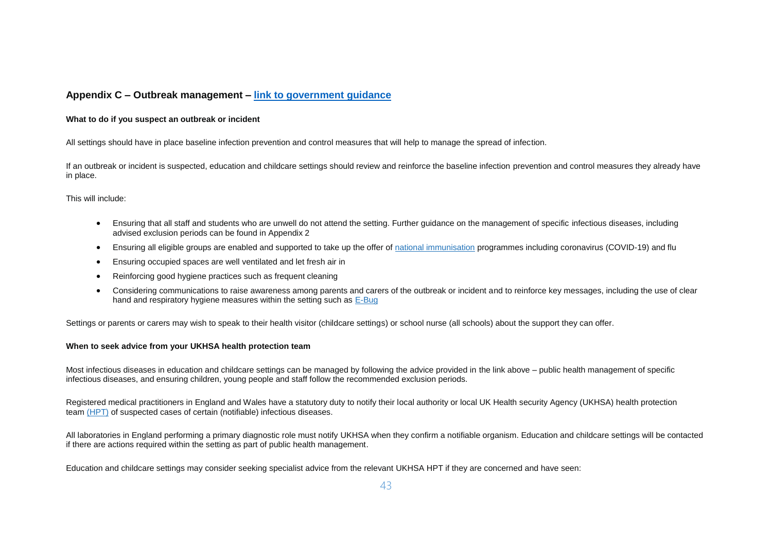## **Appendix C – Outbreak management – [link to government guidance](https://www.gov.uk/government/publications/health-protection-in-schools-and-other-childcare-facilities/chapter-4-action-in-the-event-of-an-outbreak-or-incident)**

## **What to do if you suspect an outbreak or incident**

All settings should have in place baseline infection prevention and control measures that will help to manage the spread of infection.

If an outbreak or incident is suspected, education and childcare settings should review and reinforce the baseline infection prevention and control measures they already have in place.

#### This will include:

- Ensuring that all staff and students who are unwell do not attend the setting. Further guidance on the management of specific infectious diseases, including advised exclusion periods can be found in Appendix 2
- Ensuring all eligible groups are enabled and supported to take up the offer of [national immunisation](https://www.nhs.uk/conditions/vaccinations/nhs-vaccinations-and-when-to-have-them/) programmes including coronavirus (COVID-19) and flu
- Ensuring occupied spaces are well ventilated and let fresh air in
- Reinforcing good hygiene practices such as frequent cleaning
- Considering communications to raise awareness among parents and carers of the outbreak or incident and to reinforce key messages, including the use of clear hand and respiratory hygiene measures within the setting such as  $E-Buq$

Settings or parents or carers may wish to speak to their health visitor (childcare settings) or school nurse (all schools) about the support they can offer.

#### **When to seek advice from your UKHSA health protection team**

Most infectious diseases in education and childcare settings can be managed by following the advice provided in the link above – public health management of specific infectious diseases, and ensuring children, young people and staff follow the recommended exclusion periods.

Registered medical practitioners in England and Wales have a statutory duty to notify their local authority or local UK Health security Agency (UKHSA) health protection team [\(HPT\)](https://www.gov.uk/guidance/notifiable-diseases-and-causative-organisms-how-to-report) of suspected cases of certain (notifiable) infectious diseases.

All laboratories in England performing a primary diagnostic role must notify UKHSA when they confirm a notifiable organism. Education and childcare settings will be contacted if there are actions required within the setting as part of public health management.

Education and childcare settings may consider seeking specialist advice from the relevant UKHSA HPT if they are concerned and have seen: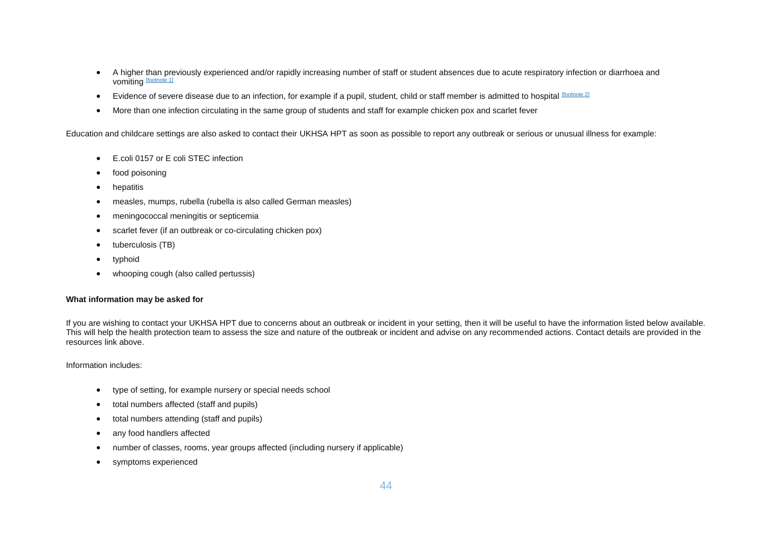- A higher than previously experienced and/or rapidly increasing number of staff or student absences due to acute respiratory infection or diarrhoea and vomiting [\[footnote 1\]](https://www.gov.uk/government/publications/health-protection-in-schools-and-other-childcare-facilities/chapter-4-action-in-the-event-of-an-outbreak-or-incident#fn:1)
- Evidence of severe disease due to an infection, for example if a pupil, student, child or staff member is admitted to hospital [\[footnote 2\]](https://www.gov.uk/government/publications/health-protection-in-schools-and-other-childcare-facilities/chapter-4-action-in-the-event-of-an-outbreak-or-incident#fn:2)
- More than one infection circulating in the same group of students and staff for example chicken pox and scarlet fever

Education and childcare settings are also asked to contact their UKHSA HPT as soon as possible to report any outbreak or serious or unusual illness for example:

- E.coli 0157 or E coli STEC infection
- food poisoning
- hepatitis
- measles, mumps, rubella (rubella is also called German measles)
- meningococcal meningitis or septicemia
- scarlet fever (if an outbreak or co-circulating chicken pox)
- tuberculosis (TB)
- typhoid
- whooping cough (also called pertussis)

## **What information may be asked for**

If you are wishing to contact your UKHSA HPT due to concerns about an outbreak or incident in your setting, then it will be useful to have the information listed below available. This will help the health protection team to assess the size and nature of the outbreak or incident and advise on any recommended actions. Contact details are provided in the resources link above.

Information includes:

- type of setting, for example nursery or special needs school
- total numbers affected (staff and pupils)
- total numbers attending (staff and pupils)
- any food handlers affected
- number of classes, rooms, year groups affected (including nursery if applicable)
- symptoms experienced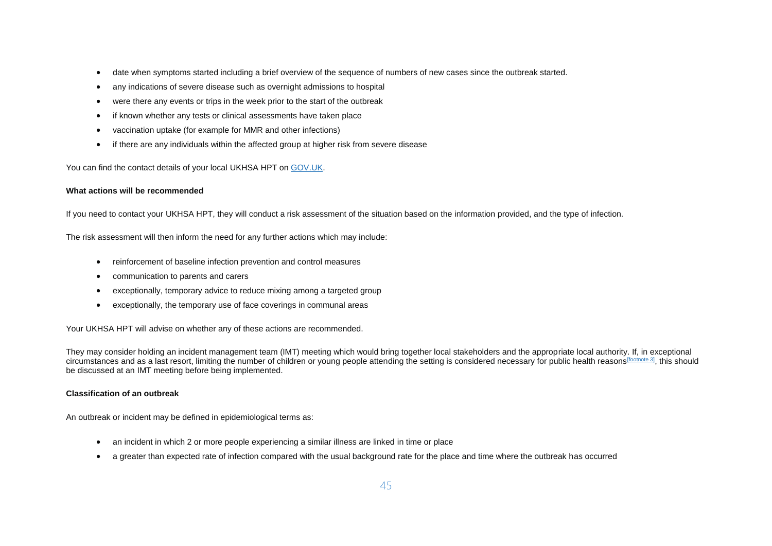- date when symptoms started including a brief overview of the sequence of numbers of new cases since the outbreak started.
- any indications of severe disease such as overnight admissions to hospital
- were there any events or trips in the week prior to the start of the outbreak
- if known whether any tests or clinical assessments have taken place
- vaccination uptake (for example for MMR and other infections)
- if there are any individuals within the affected group at higher risk from severe disease

You can find the contact details of your local UKHSA HPT on [GOV.UK.](https://www.gov.uk/health-protection-team)

## **What actions will be recommended**

If you need to contact your UKHSA HPT, they will conduct a risk assessment of the situation based on the information provided, and the type of infection.

The risk assessment will then inform the need for any further actions which may include:

- reinforcement of baseline infection prevention and control measures
- communication to parents and carers
- exceptionally, temporary advice to reduce mixing among a targeted group
- exceptionally, the temporary use of face coverings in communal areas

Your UKHSA HPT will advise on whether any of these actions are recommended.

They may consider holding an incident management team (IMT) meeting which would bring together local stakeholders and the appropriate local authority. If, in exceptional circumstances and as a last resort, limiting the number of children or young people attending the setting is considered necessary for public health reasons [\[footnote 3\]](https://www.gov.uk/government/publications/health-protection-in-schools-and-other-childcare-facilities/chapter-4-action-in-the-event-of-an-outbreak-or-incident#fn:3), this should be discussed at an IMT meeting before being implemented.

#### **Classification of an outbreak**

An outbreak or incident may be defined in epidemiological terms as:

- an incident in which 2 or more people experiencing a similar illness are linked in time or place
- a greater than expected rate of infection compared with the usual background rate for the place and time where the outbreak has occurred